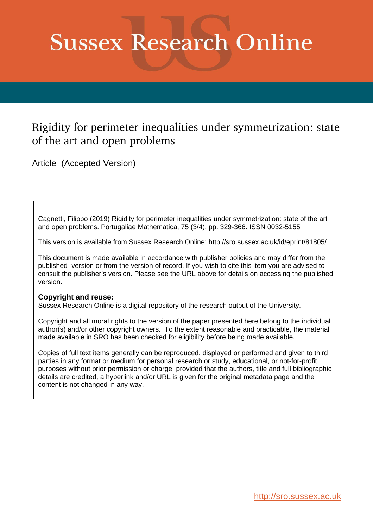# **Sussex Research Online**

# Rigidity for perimeter inequalities under symmetrization: state of the art and open problems

Article (Accepted Version)

Cagnetti, Filippo (2019) Rigidity for perimeter inequalities under symmetrization: state of the art and open problems. Portugaliae Mathematica, 75 (3/4). pp. 329-366. ISSN 0032-5155

This version is available from Sussex Research Online: http://sro.sussex.ac.uk/id/eprint/81805/

This document is made available in accordance with publisher policies and may differ from the published version or from the version of record. If you wish to cite this item you are advised to consult the publisher's version. Please see the URL above for details on accessing the published version.

## **Copyright and reuse:**

Sussex Research Online is a digital repository of the research output of the University.

Copyright and all moral rights to the version of the paper presented here belong to the individual author(s) and/or other copyright owners. To the extent reasonable and practicable, the material made available in SRO has been checked for eligibility before being made available.

Copies of full text items generally can be reproduced, displayed or performed and given to third parties in any format or medium for personal research or study, educational, or not-for-profit purposes without prior permission or charge, provided that the authors, title and full bibliographic details are credited, a hyperlink and/or URL is given for the original metadata page and the content is not changed in any way.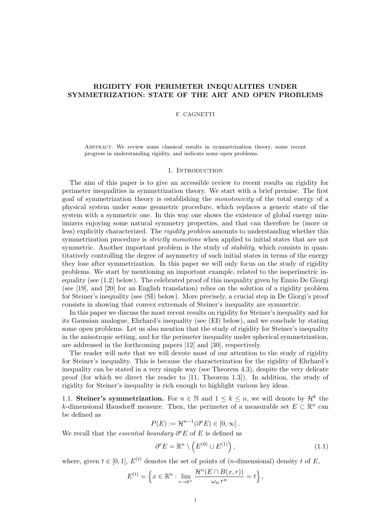### RIGIDITY FOR PERIMETER INEQUALITIES UNDER SYMMETRIZATION: STATE OF THE ART AND OPEN PROBLEMS

#### F. CAGNETTI

Abstract. We review some classical results in symmetrization theory, some recent progress in understanding rigidity, and indicate some open problems.

#### 1. INTRODUCTION

The aim of this paper is to give an accessible review to recent results on rigidity for perimeter inequalities in symmetrization theory. We start with a brief premise. The first goal of symmetrization theory is establishing the monotonicity of the total energy of a physical system under some geometric procedure, which replaces a generic state of the system with a symmetric one. In this way one shows the existence of global energy minimizers enjoying some natural symmetry properties, and that can therefore be (more or less) explicitly characterized. The rigidity problem amounts to understanding whether this symmetrization procedure is *strictly monotone* when applied to initial states that are not symmetric. Another important problem is the study of *stability*, which consists in quantitatively controlling the degree of asymmetry of such initial states in terms of the energy they lose after symmetrization. In this paper we will only focus on the study of rigidity problems. We start by mentioning an important example, related to the isoperimetric inequality (see (1.2) below). The celebrated proof of this inequality given by Ennio De Giorgi (see [19], and [20] for an English translation) relies on the solution of a rigidity problem for Steiner's inequality (see (SI) below). More precisely, a crucial step in De Giorgi's proof consists in showing that convex extremals of Steiner's inequality are symmetric.

In this paper we discuss the most recent results on rigidity for Steiner's inequality and for its Gaussian analogue, Ehrhard's inequality (see (EI) below), and we conclude by stating some open problems. Let us also mention that the study of rigidity for Steiner's inequality in the anisotropic setting, and for the perimeter inequality under spherical symmetrization, are addressed in the forthcoming papers [12] and [30], respectively.

The reader will note that we will devote most of our attention to the study of rigidity for Steiner's inequality. This is because the characterization for the rigidity of Ehrhard's inequality can be stated in a very simple way (see Theorem 4.3), despite the very delicate proof (for which we direct the reader to [11, Theorem 1.3]). In addition, the study of rigidity for Steiner's inequality is rich enough to highlight various key ideas.

1.1. Steiner's symmetrization. For  $n \in \mathbb{N}$  and  $1 \leq k \leq n$ , we will denote by  $\mathcal{H}^k$  the k-dimensional Hausdorff measure. Then, the perimeter of a measurable set  $E \subset \mathbb{R}^n$  can be defined as

$$
P(E) := \mathcal{H}^{n-1}(\partial^e E) \in [0, \infty].
$$

We recall that the *essential boundary*  $\partial^e E$  of E is defined as

$$
\partial^{\mathbf{e}} E = \mathbb{R}^n \setminus \left( E^{(0)} \cup E^{(1)} \right),\tag{1.1}
$$

where, given  $t \in [0, 1]$ ,  $E^{(t)}$  denotes the set of points of (*n*-dimensional) density t of E,

$$
E^{(t)} = \left\{ x \in \mathbb{R}^n : \lim_{r \to 0^+} \frac{\mathcal{H}^n(E \cap B(x,r))}{\omega_n r^n} = t \right\},\,
$$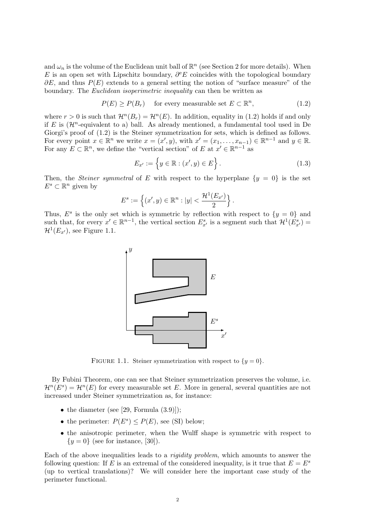and  $\omega_n$  is the volume of the Euclidean unit ball of  $\mathbb{R}^n$  (see Section 2 for more details). When E is an open set with Lipschitz boundary,  $\partial^e E$  coincides with the topological boundary  $\partial E$ , and thus  $P(E)$  extends to a general setting the notion of "surface measure" of the boundary. The Euclidean isoperimetric inequality can then be written as

$$
P(E) \ge P(B_r) \quad \text{ for every measurable set } E \subset \mathbb{R}^n,
$$
 (1.2)

where  $r > 0$  is such that  $\mathcal{H}^n(B_r) = \mathcal{H}^n(E)$ . In addition, equality in (1.2) holds if and only if E is  $(\mathcal{H}^n$ -equivalent to a) ball. As already mentioned, a fundamental tool used in De Giorgi's proof of  $(1.2)$  is the Steiner symmetrization for sets, which is defined as follows. For every point  $x \in \mathbb{R}^n$  we write  $x = (x', y)$ , with  $x' = (x_1, \ldots, x_{n-1}) \in \mathbb{R}^{n-1}$  and  $y \in \mathbb{R}$ . For any  $E \subset \mathbb{R}^n$ , we define the "vertical section" of E at  $x' \in \mathbb{R}^{n-1}$  as

$$
E_{x'} := \{ y \in \mathbb{R} : (x', y) \in E \}.
$$
 (1.3)

Then, the *Steiner symmetral* of E with respect to the hyperplane  $\{y = 0\}$  is the set  $E^s \subset \mathbb{R}^n$  given by

$$
E^{s} := \left\{ (x', y) \in \mathbb{R}^{n} : |y| < \frac{\mathcal{H}^{1}(E_{x'})}{2} \right\}.
$$

Thus,  $E^s$  is the only set which is symmetric by reflection with respect to  $\{y = 0\}$  and such that, for every  $x' \in \mathbb{R}^{n-1}$ , the vertical section  $E_{x'}^s$  is a segment such that  $\mathcal{H}^1(E_{x'}^s)$  =  $\mathcal{H}^1(E_{x'}),$  see Figure 1.1.



FIGURE 1.1. Steiner symmetrization with respect to  $\{y=0\}$ .

By Fubini Theorem, one can see that Steiner symmetrization preserves the volume, i.e.  $\mathcal{H}^n(E^s) = \mathcal{H}^n(E)$  for every measurable set E. More in general, several quantities are not increased under Steiner symmetrization as, for instance:

- the diameter (see [29, Formula  $(3.9)$ ]);
- the perimeter:  $P(E^s) \leq P(E)$ , see (SI) below;
- the anisotropic perimeter, when the Wulff shape is symmetric with respect to  ${y = 0}$  (see for instance, [30]).

Each of the above inequalities leads to a rigidity problem, which amounts to answer the following question: If E is an extremal of the considered inequality, is it true that  $E = E<sup>s</sup>$ (up to vertical translations)? We will consider here the important case study of the perimeter functional.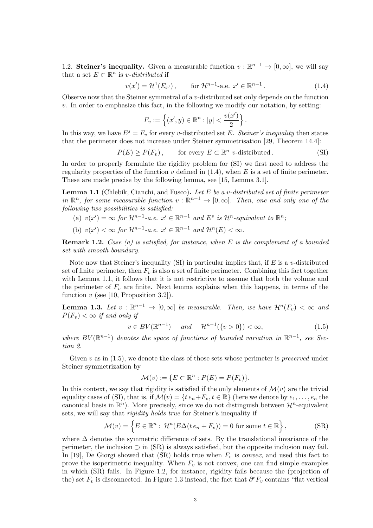1.2. Steiner's inequality. Given a measurable function  $v : \mathbb{R}^{n-1} \to [0, \infty]$ , we will say that a set  $E \subset \mathbb{R}^n$  is v-distributed if

$$
v(x') = \mathcal{H}^1(E_{x'})
$$
, for  $\mathcal{H}^{n-1}$ -a.e.  $x' \in \mathbb{R}^{n-1}$ . (1.4)

Observe now that the Steiner symmetral of a  $v$ -distributed set only depends on the function  $v$ . In order to emphasize this fact, in the following we modify our notation, by setting:

$$
F_v := \left\{ (x', y) \in \mathbb{R}^n : |y| < \frac{v(x')}{2} \right\}.
$$

In this way, we have  $E^s = F_v$  for every v-distributed set E. Steiner's inequality then states that the perimeter does not increase under Steiner symmetrisation [29, Theorem 14.4]:

 $P(E) \ge P(F_v)$ , for every  $E \subset \mathbb{R}^n$  v-distributed. (SI)

In order to properly formulate the rigidity problem for (SI) we first need to address the regularity properties of the function v defined in  $(1.4)$ , when E is a set of finite perimeter. These are made precise by the following lemma, see [15, Lemma 3.1].

**Lemma 1.1** (Chlebík, Cianchi, and Fusco). Let  $E$  be a v-distributed set of finite perimeter in  $\mathbb{R}^n$ , for some measurable function  $v : \mathbb{R}^{n-1} \to [0,\infty]$ . Then, one and only one of the following two possibilities is satisfied:

- (a)  $v(x') = \infty$  for  $\mathcal{H}^{n-1}$ -a.e.  $x' \in \mathbb{R}^{n-1}$  and  $E^s$  is  $\mathcal{H}^n$ -equivalent to  $\mathbb{R}^n$ ;
- (b)  $v(x') < \infty$  for  $\mathcal{H}^{n-1}$ -a.e.  $x' \in \mathbb{R}^{n-1}$  and  $\mathcal{H}^{n}(E) < \infty$ .

**Remark 1.2.** Case (a) is satisfied, for instance, when  $E$  is the complement of a bounded set with smooth boundary.

Note now that Steiner's inequality (SI) in particular implies that, if  $E$  is a v-distributed set of finite perimeter, then  $F_v$  is also a set of finite perimeter. Combining this fact together with Lemma 1.1, it follows that it is not restrictive to assume that both the volume and the perimeter of  $F_v$  are finite. Next lemma explains when this happens, in terms of the function v (see [10, Proposition 3.2]).

**Lemma 1.3.** Let  $v : \mathbb{R}^{n-1} \to [0, \infty]$  be measurable. Then, we have  $\mathcal{H}^n(F_v) < \infty$  and  $P(F_v) < \infty$  if and only if

$$
v \in BV(\mathbb{R}^{n-1}) \quad \text{and} \quad \mathcal{H}^{n-1}(\{v > 0\}) < \infty,\tag{1.5}
$$

where  $BV(\mathbb{R}^{n-1})$  denotes the space of functions of bounded variation in  $\mathbb{R}^{n-1}$ , see Section 2.

Given  $v$  as in (1.5), we denote the class of those sets whose perimeter is *preserved* under Steiner symmetrization by

$$
\mathcal{M}(v) := \{ E \subset \mathbb{R}^n : P(E) = P(F_v) \}.
$$

In this context, we say that rigidity is satisfied if the only elements of  $\mathcal{M}(v)$  are the trivial equality cases of (SI), that is, if  $\mathcal{M}(v) = \{te_n + F_v, t \in \mathbb{R}\}\$  (here we denote by  $e_1, \ldots, e_n$  the canonical basis in  $\mathbb{R}^n$ ). More precisely, since we do not distinguish between  $\mathcal{H}^n$ -equivalent sets, we will say that rigidity holds true for Steiner's inequality if

$$
\mathcal{M}(v) = \left\{ E \in \mathbb{R}^n : \mathcal{H}^n(E\Delta(t e_n + F_v)) = 0 \text{ for some } t \in \mathbb{R} \right\},\tag{SR}
$$

where  $\Delta$  denotes the symmetric difference of sets. By the translational invariance of the perimeter, the inclusion  $\supset$  in (SR) is always satisfied, but the opposite inclusion may fail. In [19], De Giorgi showed that (SR) holds true when  $F_v$  is convex, and used this fact to prove the isoperimetric inequality. When  $F_v$  is not convex, one can find simple examples in which (SR) fails. In Figure 1.2, for instance, rigidity fails because the (projection of the) set  $F_v$  is disconnected. In Figure 1.3 instead, the fact that  $\partial^e F_v$  contains "flat vertical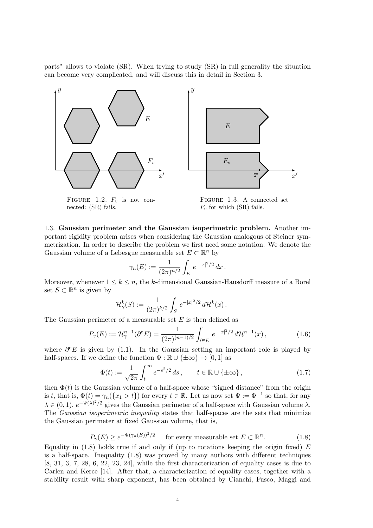parts" allows to violate (SR). When trying to study (SR) in full generality the situation can become very complicated, and will discuss this in detail in Section 3.





FIGURE 1.2.  $F_v$  is not connected: (SR) fails.

Figure 1.3. A connected set  $F_v$  for which (SR) fails.

1.3. Gaussian perimeter and the Gaussian isoperimetric problem. Another important rigidity problem arises when considering the Gaussian analogous of Steiner symmetrization. In order to describe the problem we first need some notation. We denote the Gaussian volume of a Lebesgue measurable set  $E \subset \mathbb{R}^n$  by

$$
\gamma_n(E) := \frac{1}{(2\pi)^{n/2}} \int_E e^{-|x|^2/2} dx.
$$

Moreover, whenever  $1 \leq k \leq n$ , the k-dimensional Gaussian-Hausdorff measure of a Borel set  $S \subset \mathbb{R}^n$  is given by

$$
\mathcal{H}^k_\gamma(S) := \frac{1}{(2\pi)^{k/2}} \int_S e^{-|x|^2/2} \, d\mathcal{H}^k(x) \, .
$$

The Gaussian perimeter of a measurable set  $E$  is then defined as

$$
P_{\gamma}(E) := \mathcal{H}_{\gamma}^{n-1}(\partial^{\mathbf{e}} E) = \frac{1}{(2\pi)^{(n-1)/2}} \int_{\partial^{\mathbf{e}} E} e^{-|x|^2/2} d\mathcal{H}^{n-1}(x) , \qquad (1.6)
$$

where  $\partial^e E$  is given by (1.1). In the Gaussian setting an important role is played by half-spaces. If we define the function  $\Phi : \mathbb{R} \cup {\{\pm \infty\}} \to [0, 1]$  as

$$
\Phi(t) := \frac{1}{\sqrt{2\pi}} \int_{t}^{\infty} e^{-s^2/2} ds, \qquad t \in \mathbb{R} \cup \{\pm \infty\},\tag{1.7}
$$

then  $\Phi(t)$  is the Gaussian volume of a half-space whose "signed distance" from the origin is t, that is,  $\Phi(t) = \gamma_n({x_1 > t})$  for every  $t \in \mathbb{R}$ . Let us now set  $\Psi := \Phi^{-1}$  so that, for any  $\lambda \in (0,1)$ ,  $e^{-\Psi(\lambda)^2/2}$  gives the Gaussian perimeter of a half-space with Gaussian volume  $\lambda$ . The Gaussian isoperimetric inequality states that half-spaces are the sets that minimize the Gaussian perimeter at fixed Gaussian volume, that is,

$$
P_{\gamma}(E) \ge e^{-\Psi(\gamma_n(E))^2/2} \qquad \text{for every measurable set } E \subset \mathbb{R}^n. \tag{1.8}
$$

Equality in  $(1.8)$  holds true if and only if (up to rotations keeping the origin fixed) E is a half-space. Inequality (1.8) was proved by many authors with different techniques [8, 31, 3, 7, 28, 6, 22, 23, 24], while the first characterization of equality cases is due to Carlen and Kerce [14]. After that, a characterization of equality cases, together with a stability result with sharp exponent, has been obtained by Cianchi, Fusco, Maggi and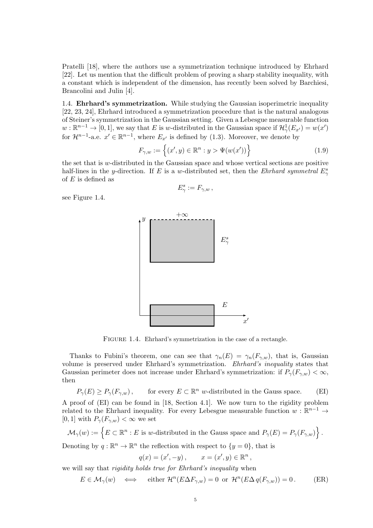Pratelli [18], where the authors use a symmetrization technique introduced by Ehrhard [22]. Let us mention that the difficult problem of proving a sharp stability inequality, with a constant which is independent of the dimension, has recently been solved by Barchiesi, Brancolini and Julin [4].

1.4. Ehrhard's symmetrization. While studying the Gaussian isoperimetric inequality [22, 23, 24], Ehrhard introduced a symmetrization procedure that is the natural analogous of Steiner's symmetrization in the Gaussian setting. Given a Lebesgue measurable function  $w: \mathbb{R}^{n-1} \to [0,1],$  we say that E is w-distributed in the Gaussian space if  $\mathcal{H}^1_\gamma(E_{x'}) = w(x')$ for  $\mathcal{H}^{n-1}$ -a.e.  $x' \in \mathbb{R}^{n-1}$ , where  $E_{x'}$  is defined by (1.3). Moreover, we denote by

$$
F_{\gamma,w} := \left\{ (x',y) \in \mathbb{R}^n : y > \Psi(w(x')) \right\}
$$
 (1.9)

the set that is w-distributed in the Gaussian space and whose vertical sections are positive half-lines in the y-direction. If E is a w-distributed set, then the Ehrhard symmetral  $E^s_\gamma$ of  $E$  is defined as

 $E^s_\gamma := F_{\gamma,w}$ ,

see Figure 1.4.



FIGURE 1.4. Ehrhard's symmetrization in the case of a rectangle.

Thanks to Fubini's theorem, one can see that  $\gamma_n(E) = \gamma_n(F_{\gamma,w})$ , that is, Gaussian volume is preserved under Ehrhard's symmetrization. Ehrhard's inequality states that Gaussian perimeter does not increase under Ehrhard's symmetrization: if  $P_{\gamma}(F_{\gamma,w}) < \infty$ , then

 $P_{\gamma}(E) \ge P_{\gamma}(F_{\gamma,w}),$  for every  $E \subset \mathbb{R}^n$  w-distributed in the Gauss space. (EI) A proof of (EI) can be found in [18, Section 4.1]. We now turn to the rigidity problem related to the Ehrhard inequality. For every Lebesgue measurable function  $w : \mathbb{R}^{n-1} \to$ [0, 1] with  $P_{\gamma}(F_{\gamma,w}) < \infty$  we set

 $\mathcal{M}_{\gamma}(w) := \{ E \subset \mathbb{R}^n : E \text{ is } w\text{-distributed in the Gauss space and } P_{\gamma}(E) = P_{\gamma}(F_{\gamma,w}) \}.$ 

Denoting by  $q : \mathbb{R}^n \to \mathbb{R}^n$  the reflection with respect to  $\{y = 0\}$ , that is

$$
q(x) = (x', -y),
$$
  $x = (x', y) \in \mathbb{R}^n$ ,

we will say that rigidity holds true for Ehrhard's inequality when

$$
E \in \mathcal{M}_{\gamma}(w) \quad \Longleftrightarrow \quad \text{ either } \mathcal{H}^n(E \Delta F_{\gamma,w}) = 0 \text{ or } \mathcal{H}^n(E \Delta q(F_{\gamma,w})) = 0. \tag{ER}
$$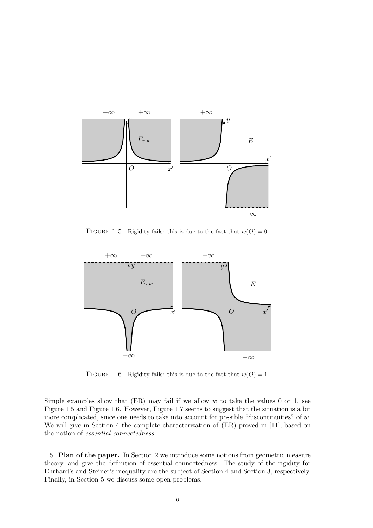

FIGURE 1.5. Rigidity fails: this is due to the fact that  $w(O) = 0$ .



FIGURE 1.6. Rigidity fails: this is due to the fact that  $w(O) = 1$ .

Simple examples show that  $(ER)$  may fail if we allow w to take the values 0 or 1, see Figure 1.5 and Figure 1.6. However, Figure 1.7 seems to suggest that the situation is a bit more complicated, since one needs to take into account for possible "discontinuities" of  $w$ . We will give in Section 4 the complete characterization of  $(ER)$  proved in [11], based on the notion of essential connectedness.

1.5. Plan of the paper. In Section 2 we introduce some notions from geometric measure theory, and give the definition of essential connectedness. The study of the rigidity for Ehrhard's and Steiner's inequality are the subject of Section 4 and Section 3, respectively. Finally, in Section 5 we discuss some open problems.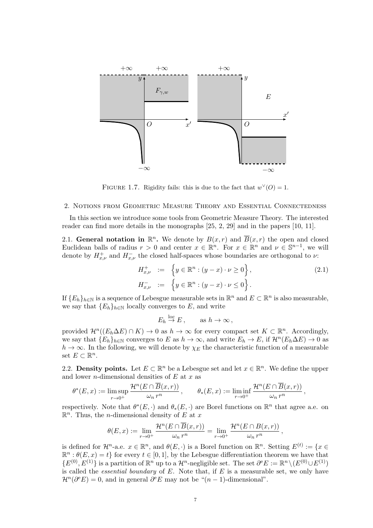

FIGURE 1.7. Rigidity fails: this is due to the fact that  $w^{\vee}(O) = 1$ .

#### 2. Notions from Geometric Measure Theory and Essential Connectedness

In this section we introduce some tools from Geometric Measure Theory. The interested reader can find more details in the monographs [25, 2, 29] and in the papers [10, 11].

2.1. General notation in  $\mathbb{R}^n$ . We denote by  $B(x,r)$  and  $\overline{B}(x,r)$  the open and closed Euclidean balls of radius  $r > 0$  and center  $x \in \mathbb{R}^n$ . For  $x \in \mathbb{R}^n$  and  $\nu \in \mathbb{S}^{n-1}$ , we will denote by  $H_{x,\nu}^+$  and  $H_{x,\nu}^-$  the closed half-spaces whose boundaries are orthogonal to  $\nu$ :

$$
H_{x,\nu}^{+} := \left\{ y \in \mathbb{R}^{n} : (y - x) \cdot \nu \ge 0 \right\},
$$
  
\n
$$
H_{x,\nu}^{-} := \left\{ y \in \mathbb{R}^{n} : (y - x) \cdot \nu \le 0 \right\}.
$$
\n(2.1)

If  ${E_h}_{h\in\mathbb{N}}$  is a sequence of Lebesgue measurable sets in  $\mathbb{R}^n$  and  $E\subset\mathbb{R}^n$  is also measurable, we say that  ${E_h}_{h \in \mathbb{N}}$  locally converges to E, and write

$$
E_h \stackrel{\text{loc}}{\to} E, \quad \text{as } h \to \infty,
$$

provided  $\mathcal{H}^n((E_h\Delta E)\cap K)\to 0$  as  $h\to\infty$  for every compact set  $K\subset\mathbb{R}^n$ . Accordingly, we say that  ${E_h}_{h \in \mathbb{N}}$  converges to E as  $h \to \infty$ , and write  $E_h \to E$ , if  $\mathcal{H}^n(E_h \Delta E) \to 0$  as  $h \to \infty$ . In the following, we will denote by  $\chi_E$  the characteristic function of a measurable set  $E \subset \mathbb{R}^n$ .

2.2. Density points. Let  $E \subset \mathbb{R}^n$  be a Lebesgue set and let  $x \in \mathbb{R}^n$ . We define the upper and lower *n*-dimensional densities of  $E$  at  $x$  as

$$
\theta^*(E, x) := \limsup_{r \to 0^+} \frac{\mathcal{H}^n(E \cap \overline{B}(x, r))}{\omega_n r^n}, \qquad \theta_*(E, x) := \liminf_{r \to 0^+} \frac{\mathcal{H}^n(E \cap \overline{B}(x, r))}{\omega_n r^n},
$$

respectively. Note that  $\theta^*(E, \cdot)$  and  $\theta_*(E, \cdot)$  are Borel functions on  $\mathbb{R}^n$  that agree a.e. on  $\mathbb{R}^n$ . Thus, the *n*-dimensional density of E at x

$$
\theta(E,x) := \lim_{r \to 0^+} \frac{\mathcal{H}^n(E \cap \overline{B}(x,r))}{\omega_n r^n} = \lim_{r \to 0^+} \frac{\mathcal{H}^n(E \cap B(x,r))}{\omega_n r^n},
$$

is defined for  $\mathcal{H}^n$ -a.e.  $x \in \mathbb{R}^n$ , and  $\theta(E, \cdot)$  is a Borel function on  $\mathbb{R}^n$ . Setting  $E^{(t)} := \{x \in$  $\mathbb{R}^n : \theta(E, x) = t$  for every  $t \in [0, 1]$ , by the Lebesgue differentiation theorem we have that  $\{E^{(0)}, E^{(1)}\}$  is a partition of  $\mathbb{R}^n$  up to a  $\mathcal{H}^n$ -negligible set. The set  $\partial^e E := \mathbb{R}^n \setminus (E^{(0)} \cup E^{(1)})$ is called the *essential boundary* of  $E$ . Note that, if  $E$  is a measurable set, we only have  $\mathcal{H}^n(\partial^e E) = 0$ , and in general  $\partial^e E$  may not be " $(n-1)$ -dimensional".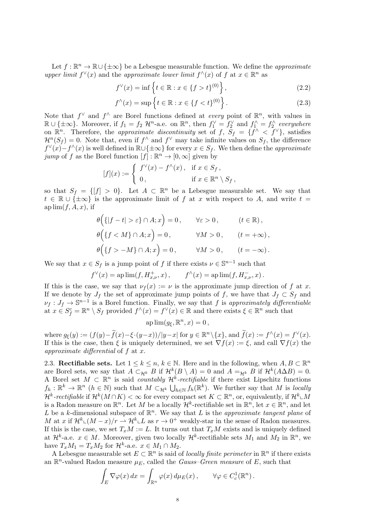Let  $f : \mathbb{R}^n \to \mathbb{R} \cup {\pm \infty}$  be a Lebesgue measurable function. We define the *approximate* upper limit  $f^{\vee}(x)$  and the approximate lower limit  $f^{\wedge}(x)$  of f at  $x \in \mathbb{R}^n$  as

$$
f^{\vee}(x) = \inf \left\{ t \in \mathbb{R} : x \in \{ f > t \}^{(0)} \right\},\tag{2.2}
$$

$$
f^{\wedge}(x) = \sup \left\{ t \in \mathbb{R} : x \in \{ f < t \}^{(0)} \right\}. \tag{2.3}
$$

Note that  $f^{\vee}$  and  $f^{\wedge}$  are Borel functions defined at *every* point of  $\mathbb{R}^n$ , with values in  $\mathbb{R} \cup \{\pm \infty\}$ . Moreover, if  $f_1 = f_2 \mathcal{H}^n$ -a.e. on  $\mathbb{R}^n$ , then  $f_1^{\vee} = f_2^{\vee}$  and  $f_1^{\wedge} = f_2^{\wedge}$  everywhere on  $\mathbb{R}^n$ . Therefore, the *approximate discontinuity* set of  $f$ ,  $S_f = \{f^\wedge < f^\vee\}$ , satisfies  $\mathcal{H}^n(S_f) = 0.$  Note that, even if  $f^{\wedge}$  and  $f^{\vee}$  may take infinite values on  $S_f$ , the difference  $f^{\vee}(x) - f^{\wedge}(x)$  is well defined in  $\mathbb{R} \cup \{\pm \infty\}$  for every  $x \in S_f$ . We then define the *approximate* jump of f as the Borel function  $[f] : \mathbb{R}^n \to [0, \infty]$  given by

$$
[f](x) := \begin{cases} f^{\vee}(x) - f^{\wedge}(x), & \text{if } x \in S_f, \\ 0, & \text{if } x \in \mathbb{R}^n \setminus S_f, \end{cases}
$$

so that  $S_f = \{ [f] > 0 \}$ . Let  $A \subset \mathbb{R}^n$  be a Lebesgue measurable set. We say that  $t \in \mathbb{R} \cup \{\pm \infty\}$  is the approximate limit of f at x with respect to A, and write  $t =$ ap  $\lim(f, A, x)$ , if

$$
\theta\Big(\{|f - t| > \varepsilon\} \cap A; x\Big) = 0, \qquad \forall \varepsilon > 0, \qquad (t \in \mathbb{R}),
$$
\n
$$
\theta\Big(\{f < M\} \cap A; x\Big) = 0, \qquad \forall M > 0, \qquad (t = +\infty),
$$
\n
$$
\theta\Big(\{f > -M\} \cap A; x\Big) = 0, \qquad \forall M > 0, \qquad (t = -\infty).
$$

We say that  $x \in S_f$  is a jump point of f if there exists  $\nu \in \mathbb{S}^{n-1}$  such that

$$
f^{\vee}(x) =
$$
ap lim $(f, H_{x,\nu}^+, x)$ ,  $f^{\wedge}(x) =$ ap lim $(f, H_{x,\nu}^-, x)$ .

If this is the case, we say that  $\nu_f(x) := \nu$  is the approximate jump direction of f at x. If we denote by  $J_f$  the set of approximate jump points of f, we have that  $J_f \subset S_f$  and  $\nu_f: J_f \to \mathbb{S}^{n-1}$  is a Borel function. Finally, we say that f is approximately differentiable at  $x \in S_f^c = \mathbb{R}^n \setminus S_f$  provided  $f^{\wedge}(x) = f^{\vee}(x) \in \mathbb{R}$  and there exists  $\xi \in \mathbb{R}^n$  such that

$$
ap\lim(g_{\xi}, \mathbb{R}^n, x) = 0,
$$

where  $g_{\xi}(y) := (f(y) - \tilde{f}(x) - \xi \cdot (y-x))/|y-x|$  for  $y \in \mathbb{R}^n \setminus \{x\}$ , and  $\tilde{f}(x) := f^{\wedge}(x) = f^{\vee}(x)$ . If this is the case, then  $\xi$  is uniquely determined, we set  $\nabla f(x) := \xi$ , and call  $\nabla f(x)$  the approximate differential of  $f$  at  $x$ .

2.3. Rectifiable sets. Let  $1 \leq k \leq n, k \in \mathbb{N}$ . Here and in the following, when  $A, B \subset \mathbb{R}^n$ are Borel sets, we say that  $A \subset_{\mathcal{H}^k} B$  if  $\mathcal{H}^k(B \setminus A) = 0$  and  $A =_{\mathcal{H}^k} B$  if  $\mathcal{H}^k(A \Delta B) = 0$ . A Borel set  $M \subset \mathbb{R}^n$  is said *countably*  $\mathcal{H}^k$ -rectifiable if there exist Lipschitz functions  $f_h: \mathbb{R}^k \to \mathbb{R}^n$   $(h \in \mathbb{N})$  such that  $M \subset_{\mathcal{H}^k} \bigcup_{h \in \mathbb{N}} f_h(\mathbb{R}^k)$ . We further say that M is locally  $\mathcal{H}^k\text{-}rectifiable$  if  $\mathcal{H}^k(M\cap K)<\infty$  for every compact set  $K\subset\mathbb{R}^n$ , or, equivalently, if  $\mathcal{H}^k\llcorner M$ is a Radon measure on  $\mathbb{R}^n$ . Let M be a locally  $\mathcal{H}^k$ -rectifiable set in  $\mathbb{R}^n$ , let  $x \in \mathbb{R}^n$ , and let L be a k-dimensional subspace of  $\mathbb{R}^n$ . We say that L is the approximate tangent plane of M at x if  $\mathcal{H}^k(\mathcal{M}-x)/r \rightharpoonup \mathcal{H}^k(\mathcal{L})$  as  $r \to 0^+$  weakly-star in the sense of Radon measures. If this is the case, we set  $T_xM := L$ . It turns out that  $T_xM$  exists and is uniquely defined at  $\mathcal{H}^k$ -a.e.  $x \in M$ . Moreover, given two locally  $\mathcal{H}^k$ -rectifiable sets  $M_1$  and  $M_2$  in  $\mathbb{R}^n$ , we have  $T_xM_1 = T_xM_2$  for  $\mathcal{H}^k$ -a.e.  $x \in M_1 \cap M_2$ .

A Lebesgue measurable set  $E \subset \mathbb{R}^n$  is said of *locally finite perimeter* in  $\mathbb{R}^n$  if there exists an  $\mathbb{R}^n$ -valued Radon measure  $\mu_E$ , called the *Gauss–Green measure* of E, such that

$$
\int_E \nabla \varphi(x) dx = \int_{\mathbb{R}^n} \varphi(x) d\mu_E(x), \qquad \forall \varphi \in C_c^1(\mathbb{R}^n).
$$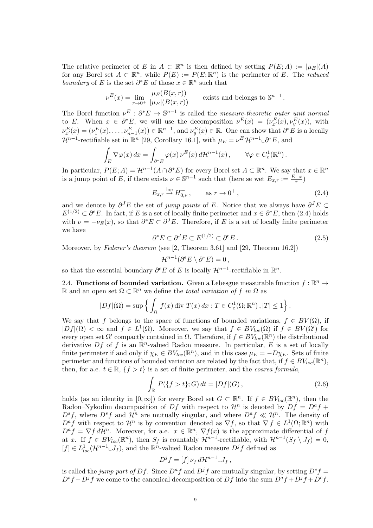The relative perimeter of E in  $A \subset \mathbb{R}^n$  is then defined by setting  $P(E; A) := |\mu_E|(A)$ for any Borel set  $A \subset \mathbb{R}^n$ , while  $P(E) := P(E; \mathbb{R}^n)$  is the perimeter of E. The reduced boundary of E is the set  $\partial^* E$  of those  $x \in \mathbb{R}^n$  such that

$$
\nu^{E}(x) = \lim_{r \to 0^{+}} \frac{\mu_{E}(B(x,r))}{|\mu_{E}|(B(x,r))}
$$
 exists and belongs to  $\mathbb{S}^{n-1}$ .

The Borel function  $\nu^E : \partial^* E \to \mathbb{S}^{n-1}$  is called the *measure-theoretic outer unit normal* to E. When  $x \in \partial^* E$ , we will use the decomposition  $\nu^E(x) = (\nu^E_{x'}(x), \nu^E_{y}(x))$ , with y  $\nu_x^E(x) = (\nu_1^E(x), \dots, \nu_{n-1}^E(x)) \in \mathbb{R}^{n-1}$ , and  $\nu_y^E(x) \in \mathbb{R}$ . One can show that  $\partial^* E$  is a locally  $\mathcal{H}^{n-1}$ -rectifiable set in  $\mathbb{R}^n$  [29, Corollary 16.1], with  $\mu_E = \nu^E \mathcal{H}^{n-1} \cup \partial^* E$ , and

$$
\int_E \nabla \varphi(x) dx = \int_{\partial^* E} \varphi(x) \nu^E(x) d\mathcal{H}^{n-1}(x), \qquad \forall \varphi \in C_c^1(\mathbb{R}^n).
$$

In particular,  $P(E; A) = \mathcal{H}^{n-1}(A \cap \partial^* E)$  for every Borel set  $A \subset \mathbb{R}^n$ . We say that  $x \in \mathbb{R}^n$ is a jump point of E, if there exists  $\nu \in \mathbb{S}^{n-1}$  such that (here se wet  $E_{x,r} := \frac{E-x}{r}$ )

$$
E_{x,r} \stackrel{\text{loc}}{\to} H_{0,\nu}^+, \qquad \text{as } r \to 0^+, \tag{2.4}
$$

and we denote by  $\partial^J E$  the set of jump points of E. Notice that we always have  $\partial^J E \subset$  $E^{(1/2)} \subset \partial^e E$ . In fact, if E is a set of locally finite perimeter and  $x \in \partial^* E$ , then (2.4) holds with  $\nu = -\nu_E(x)$ , so that  $\partial^* E \subset \partial^J E$ . Therefore, if E is a set of locally finite perimeter we have

$$
\partial^* E \subset \partial^J E \subset E^{(1/2)} \subset \partial^e E. \tag{2.5}
$$

Moreover, by Federer's theorem (see [2, Theorem 3.61] and [29, Theorem 16.2])

$$
\mathcal{H}^{n-1}(\partial^{\mathbf{e}} E \setminus \partial^* E) = 0,
$$

so that the essential boundary  $\partial^e E$  of E is locally  $\mathcal{H}^{n-1}$ -rectifiable in  $\mathbb{R}^n$ .

2.4. Functions of bounded variation. Given a Lebesgue measurable function  $f : \mathbb{R}^n \to$ R and an open set  $\Omega \subset \mathbb{R}^n$  we define the *total variation of f in*  $\Omega$  as

$$
|Df|(\Omega) = \sup \left\{ \int_{\Omega} f(x) \operatorname{div} T(x) dx : T \in C_c^1(\Omega; \mathbb{R}^n), |T| \le 1 \right\}.
$$

We say that f belongs to the space of functions of bounded variations,  $f \in BV(\Omega)$ , if  $|Df|(\Omega) < \infty$  and  $f \in L^1(\Omega)$ . Moreover, we say that  $f \in BV_{loc}(\Omega)$  if  $f \in BV(\Omega')$  for every open set  $\Omega'$  compactly contained in  $\Omega$ . Therefore, if  $f \in BV_{loc}(\mathbb{R}^n)$  the distributional derivative Df of f is an  $\mathbb{R}^n$ -valued Radon measure. In particular, E is a set of locally finite perimeter if and only if  $\chi_E \in BV_{loc}(\mathbb{R}^n)$ , and in this case  $\mu_E = -D\chi_E$ . Sets of finite perimeter and functions of bounded variation are related by the fact that, if  $f \in BV_{loc}(\mathbb{R}^n)$ , then, for a.e.  $t \in \mathbb{R}, \{f > t\}$  is a set of finite perimeter, and the *coarea formula*,

$$
\int_{\mathbb{R}} P({f > t}; G) dt = |Df|(G),
$$
\n(2.6)

holds (as an identity in  $[0,\infty]$ ) for every Borel set  $G \subset \mathbb{R}^n$ . If  $f \in BV_{loc}(\mathbb{R}^n)$ , then the Radon–Nykodim decomposition of Df with respect to  $\mathcal{H}^n$  is denoted by  $Df = D^a f +$  $D^s f$ , where  $D^s f$  and  $\mathcal{H}^n$  are mutually singular, and where  $D^a f \ll \mathcal{H}^n$ . The density of  $D^af$  with respect to  $\mathcal{H}^n$  is by convention denoted as  $\nabla f$ , so that  $\nabla f \in L^1(\Omega;\mathbb{R}^n)$  with  $D^a f = \nabla f d\mathcal{H}^n$ . Moreover, for a.e.  $x \in \mathbb{R}^n$ ,  $\nabla f(x)$  is the approximate differential of f at x. If  $f \in BV_{loc}(\mathbb{R}^n)$ , then  $S_f$  is countably  $\mathcal{H}^{n-1}$ -rectifiable, with  $\mathcal{H}^{n-1}(S_f \setminus J_f) = 0$ ,  $[f] \in L^1_{loc}(\mathcal{H}^{n-1} \llcorner J_f)$ , and the  $\mathbb{R}^n$ -valued Radon measure  $D^jf$  defined as

$$
D^jf=[f]\nu_f\,d\mathcal{H}^{n-1}\llcorner J_f\,,
$$

is called the jump part of Df. Since  $D^af$  and  $D^jf$  are mutually singular, by setting  $D^cf =$  $D^s f - D^j f$  we come to the canonical decomposition of Df into the sum  $D^a f + D^j f + D^c f$ .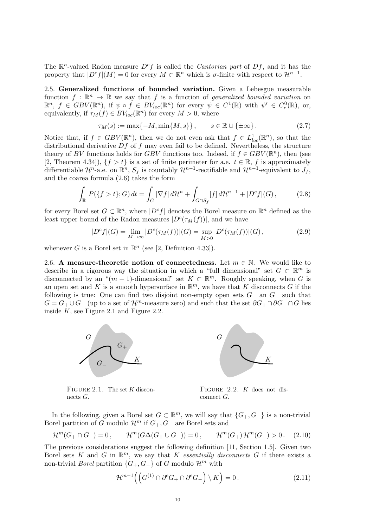The  $\mathbb{R}^n$ -valued Radon measure  $D^c f$  is called the *Cantorian part* of  $Df$ , and it has the property that  $|D^cf|(M) = 0$  for every  $M \subset \mathbb{R}^n$  which is  $\sigma$ -finite with respect to  $\mathcal{H}^{n-1}$ .

2.5. Generalized functions of bounded variation. Given a Lebesgue measurable function  $f : \mathbb{R}^n \to \mathbb{R}$  we say that f is a function of generalized bounded variation on  $\mathbb{R}^n$ ,  $f \in GBV(\mathbb{R}^n)$ , if  $\psi \circ f \in BV_{loc}(\mathbb{R}^n)$  for every  $\psi \in C^1(\mathbb{R})$  with  $\psi' \in C^0_c(\mathbb{R})$ , or, equivalently, if  $\tau_M(f) \in BV_{loc}(\mathbb{R}^n)$  for every  $M > 0$ , where

$$
\tau_M(s) := \max\{-M, \min\{M, s\}\}, \qquad s \in \mathbb{R} \cup \{\pm \infty\}.
$$
 (2.7)

Notice that, if  $f \in GBV(\mathbb{R}^n)$ , then we do not even ask that  $f \in L^1_{loc}(\mathbb{R}^n)$ , so that the distributional derivative  $Df$  of f may even fail to be defined. Nevertheless, the structure theory of BV functions holds for GBV functions too. Indeed, if  $f \in GBV(\mathbb{R}^n)$ , then (see [2, Theorem 4.34]),  $\{f > t\}$  is a set of finite perimeter for a.e.  $t \in \mathbb{R}$ , f is approximately differentiable  $\mathcal{H}^n$ -a.e. on  $\mathbb{R}^n$ ,  $S_f$  is countably  $\mathcal{H}^{n-1}$ -rectifiable and  $\mathcal{H}^{n-1}$ -equivalent to  $J_f$ , and the coarea formula (2.6) takes the form

$$
\int_{\mathbb{R}} P(\{f > t\}; G) dt = \int_{G} |\nabla f| d\mathcal{H}^{n} + \int_{G \cap S_{f}} [f] d\mathcal{H}^{n-1} + |D^{c} f|(G), \tag{2.8}
$$

for every Borel set  $G \subset \mathbb{R}^n$ , where  $|D^c f|$  denotes the Borel measure on  $\mathbb{R}^n$  defined as the least upper bound of the Radon measures  $|D^c(\tau_M(f))|$ , and we have

$$
|D^{c}f|(G) = \lim_{M \to \infty} |D^{c}(\tau_M(f))|(G) = \sup_{M > 0} |D^{c}(\tau_M(f))|(G), \qquad (2.9)
$$

whenever G is a Borel set in  $\mathbb{R}^n$  (see [2, Definition 4.33]).

2.6. A measure-theoretic notion of connectedness. Let  $m \in \mathbb{N}$ . We would like to describe in a rigorous way the situation in which a "full dimensional" set  $G \subset \mathbb{R}^m$  is disconnected by an " $(m-1)$ -dimensional" set  $K \subset \mathbb{R}^m$ . Roughly speaking, when G is an open set and K is a smooth hypersurface in  $\mathbb{R}^m$ , we have that K disconnects G if the following is true: One can find two disjoint non-empty open sets  $G_+$  an  $G_-\$  such that  $G = G_+ \cup G_+$  (up to a set of  $\mathcal{H}^m$ -measure zero) and such that the set  $\partial G_+ \cap \partial G_-\cap G$  lies inside  $K$ , see Figure 2.1 and Figure 2.2.



FIGURE 2.1. The set  $K$  disconnects  $G$ .



Figure 2.2. K does not disconnect G.

In the following, given a Borel set  $G \subset \mathbb{R}^m$ , we will say that  $\{G_+, G_-\}$  is a non-trivial Borel partition of G modulo  $\mathcal{H}^m$  if  $G_+, G_-$  are Borel sets and

$$
\mathcal{H}^m(G_+ \cap G_-) = 0, \qquad \mathcal{H}^m(G \Delta(G_+ \cup G_-)) = 0, \qquad \mathcal{H}^m(G_+) \mathcal{H}^m(G_-) > 0. \tag{2.10}
$$

The previous considerations suggest the following definition [11, Section 1.5]. Given two Borel sets K and G in  $\mathbb{R}^m$ , we say that K essentially disconnects G if there exists a non-trivial *Borel* partition  $\{G_+, G_-\}$  of G modulo  $\mathcal{H}^m$  with

$$
\mathcal{H}^{m-1}\Big(\Big(G^{(1)}\cap\partial^{{\rm e}}G_+\cap\partial^{{\rm e}}G_-\Big)\setminus K\Big)=0\,.
$$
 (2.11)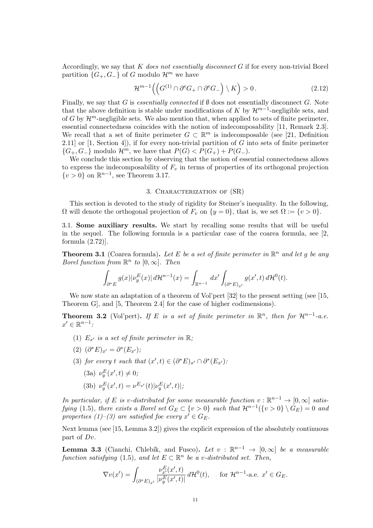Accordingly, we say that K does not essentially disconnect G if for every non-trivial Borel partition  $\{G_+, G_-\}$  of G modulo  $\mathcal{H}^m$  we have

$$
\mathcal{H}^{m-1}\Big(\Big(G^{(1)}\cap\partial^{{\rm e}} G_+\cap\partial^{{\rm e}} G_-\Big)\setminus K\Big)>0\,. \tag{2.12}
$$

Finally, we say that G is essentially connected if  $\emptyset$  does not essentially disconnect G. Note that the above definition is stable under modifications of K by  $\mathcal{H}^{m-1}$ -negligible sets, and of G by  $\mathcal{H}^m$ -negligible sets. We also mention that, when applied to sets of finite perimeter, essential connectedness coincides with the notion of indecomposability [11, Remark 2.3]. We recall that a set of finite perimeter  $G \subset \mathbb{R}^m$  is indecomposable (see [21, Definition 2.11] or  $[1, \text{Section 4}]$ , if for every non-trivial partition of G into sets of finite perimeter  ${G_+, G_-}$  modulo  $\mathcal{H}^m$ , we have that  $P(G) < P(G_+) + P(G_-)$ .

We conclude this section by observing that the notion of essential connectedness allows to express the indecomposability of  $F_v$  in terms of properties of its orthogonal projection  $\{v>0\}$  on  $\mathbb{R}^{n-1}$ , see Theorem 3.17.

#### 3. Characterization of (SR)

This section is devoted to the study of rigidity for Steiner's inequality. In the following,  $\Omega$  will denote the orthogonal projection of  $F_v$  on  $\{y = 0\}$ , that is, we set  $\Omega := \{v > 0\}$ .

3.1. Some auxiliary results. We start by recalling some results that will be useful in the sequel. The following formula is a particular case of the coarea formula, see [2, formula (2.72)].

**Theorem 3.1** (Coarea formula). Let E be a set of finite perimeter in  $\mathbb{R}^n$  and let g be any Borel function from  $\mathbb{R}^n$  to  $[0,\infty]$ . Then

$$
\int_{\partial^* E} g(x) |\nu_y^E(x)| d\mathcal{H}^{n-1}(x) = \int_{\mathbb{R}^{n-1}} dx' \int_{(\partial^* E)_{x'}} g(x',t) d\mathcal{H}^0(t).
$$

We now state an adaptation of a theorem of Vol'pert [32] to the present setting (see [15, Theorem G], and [5, Theorem 2.4] for the case of higher codimensions).

**Theorem 3.2** (Vol'pert). If E is a set of finite perimeter in  $\mathbb{R}^n$ , then for  $\mathcal{H}^{n-1}$ -a.e.  $x' \in \mathbb{R}^{n-1}$ :

- (1)  $E_{x'}$  is a set of finite perimeter in  $\mathbb{R}$ ;
- (2)  $(\partial^* E)_{x'} = \partial^* (E_{x'});$
- (3) for every t such that  $(x',t) \in (\partial^* E)_{x'} \cap \partial^* (E_{x'})$ :
	- (3a)  $\nu_y^E(x',t) \neq 0;$

(3b) 
$$
\nu_y^E(x',t) = \nu^{E_{x'}}(t) |\nu_y^E(x',t)|;
$$

In particular, if E is v-distributed for some measurable function  $v : \mathbb{R}^{n-1} \to [0, \infty]$  satisfying (1.5), there exists a Borel set  $G_E \subset \{v > 0\}$  such that  $\mathcal{H}^{n-1}(\{v > 0\} \setminus \overline{G_E}) = 0$  and properties (1)–(3) are satisfied foe every  $x' \in G_E$ .

Next lemma (see [15, Lemma 3.2]) gives the explicit expression of the absolutely continuous part of Dv.

**Lemma 3.3** (Cianchi, Chlebík, and Fusco). Let  $v : \mathbb{R}^{n-1} \to [0,\infty]$  be a measurable function satisfying (1.5), and let  $E \subset \mathbb{R}^n$  be a v-distributed set. Then,

$$
\nabla v(x') = \int_{(\partial^* E)_{x'}} \frac{\nu_{x'}^E(x',t)}{|\nu_y^E(x',t)|} d\mathcal{H}^0(t), \quad \text{ for } \mathcal{H}^{n-1}\text{-a.e. } x' \in G_E.
$$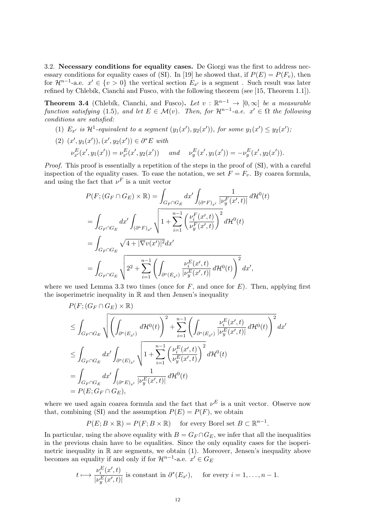3.2. Necessary conditions for equality cases. De Giorgi was the first to address necessary conditions for equality cases of (SI). In [19] he showed that, if  $P(E) = P(F_v)$ , then for  $\mathcal{H}^{n-1}$ -a.e.  $x' \in \{v > 0\}$  the vertical section  $E_{x'}$  is a segment. Such result was later refined by Chlebík, Cianchi and Fusco, with the following theorem (see  $[15,$  Theorem 1.1]).

**Theorem 3.4** (Chlebík, Cianchi, and Fusco). Let  $v : \mathbb{R}^{n-1} \to [0,\infty]$  be a measurable function satisfying (1.5), and let  $E \in \mathcal{M}(v)$ . Then, for  $\mathcal{H}^{n-1}$ -a.e.  $x' \in \Omega$  the following conditions are satisfied:

- (1)  $E_{x'}$  is  $\mathcal{H}^1$ -equivalent to a segment  $(y_1(x'), y_2(x'))$ , for some  $y_1(x') \leq y_2(x')$ ;
- (2)  $(x', y_1(x')), (x', y_2(x')) \in \partial^* E \text{ with}$  $\nu_x^E(x', y_1(x')) = \nu_{x'}^E(x', y_2(x'))$  and  $\nu_y^E(x', y_1(x')) = -\nu_y^E(x', y_2(x')).$

Proof. This proof is essentially a repetition of the steps in the proof of (SI), with a careful inspection of the equality cases. To ease the notation, we set  $F = F_v$ . By coarea formula, and using the fact that  $\nu^F$  is a unit vector

$$
P(F; (G_F \cap G_E) \times \mathbb{R}) = \int_{G_F \cap G_E} dx' \int_{(\partial^* F)_{x'}} \frac{1}{|\nu_y^F(x', t)|} d\mathcal{H}^0(t)
$$
  
= 
$$
\int_{G_F \cap G_E} dx' \int_{(\partial^* F)_{x'}} \sqrt{1 + \sum_{i=1}^{n-1} \left(\frac{\nu_y^F(x', t)}{\nu_y^F(x', t)}\right)^2} d\mathcal{H}^0(t)
$$
  
= 
$$
\int_{G_F \cap G_E} \sqrt{4 + |\nabla v(x')|^2} dx'
$$
  
= 
$$
\int_{G_F \cap G_E} \sqrt{2^2 + \sum_{i=1}^{n-1} \left(\int_{\partial^*(E_{x'})} \frac{\nu_z^E(x', t)}{|\nu_y^E(x', t)|} d\mathcal{H}^0(t)\right)^2} dx',
$$

where we used Lemma 3.3 two times (once for  $F$ , and once for  $E$ ). Then, applying first the isoperimetric inequality in  $\mathbb R$  and then Jensen's inequality

$$
P(F; (G_F \cap G_E) \times \mathbb{R})
$$
  
\n
$$
\leq \int_{G_F \cap G_E} \sqrt{\left(\int_{\partial^*(E_{x'})} d\mathcal{H}^0(t)\right)^2 + \sum_{i=1}^{n-1} \left(\int_{\partial^*(E_{x'})} \frac{\nu_i^E(x',t)}{|\nu_y^E(x',t)|} d\mathcal{H}^0(t)\right)^2} dx'
$$
  
\n
$$
\leq \int_{G_F \cap G_E} dx' \int_{\partial^*(E)_{x'}} \sqrt{1 + \sum_{i=1}^{n-1} \left(\frac{\nu_i^E(x',t)}{\nu_y^E(x',t)}\right)^2} d\mathcal{H}^0(t)
$$
  
\n
$$
= \int_{G_F \cap G_E} dx' \int_{(\partial^*E)_{x'}} \frac{1}{|\nu_y^E(x',t)|} d\mathcal{H}^0(t)
$$
  
\n
$$
= P(E; G_F \cap G_E),
$$

where we used again coarea formula and the fact that  $\nu^E$  is a unit vector. Observe now that, combining (SI) and the assumption  $P(E) = P(F)$ , we obtain

$$
P(E; B \times \mathbb{R}) = P(F; B \times \mathbb{R})
$$
 for every Borel set  $B \subset \mathbb{R}^{n-1}$ .

In particular, using the above equality with  $B = G_F \cap G_E$ , we infer that all the inequalities in the previous chain have to be equalities. Since the only equality cases for the isoperimetric inequality in  $\mathbb R$  are segments, we obtain (1). Moreover, Jensen's inequality above becomes an equality if and only if for  $\mathcal{H}^{n-1}$ -a.e.  $x' \in G_E$ 

$$
t \longmapsto \frac{\nu_i^E(x',t)}{|\nu_y^E(x',t)|}
$$
 is constant in  $\partial^*(E_{x'})$ , for every  $i = 1, ..., n-1$ .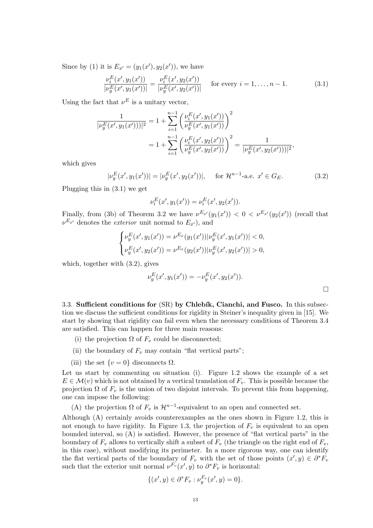Since by (1) it is  $E_{x'} = (y_1(x'), y_2(x'))$ , we have

$$
\frac{\nu_i^E(x', y_1(x'))}{|\nu_y^E(x', y_1(x'))|} = \frac{\nu_i^E(x', y_2(x'))}{|\nu_y^E(x', y_2(x'))|} \quad \text{for every } i = 1, \dots, n-1.
$$
 (3.1)

Using the fact that  $\nu^E$  is a unitary vector,

$$
\frac{1}{|\nu_y^E(x', y_1(x')))|^2} = 1 + \sum_{i=1}^{n-1} \left( \frac{\nu_i^E(x', y_1(x'))}{\nu_y^E(x', y_1(x'))} \right)^2
$$

$$
= 1 + \sum_{i=1}^{n-1} \left( \frac{\nu_i^E(x', y_2(x'))}{\nu_y^E(x', y_2(x'))} \right)^2 = \frac{1}{|\nu_y^E(x', y_2(x')))|^2},
$$

which gives

$$
|\nu_y^E(x', y_1(x'))| = |\nu_y^E(x', y_2(x'))|, \quad \text{for } \mathcal{H}^{n-1}\text{-a.e. } x' \in G_E.
$$
 (3.2)

Plugging this in (3.1) we get

$$
\nu_i^E(x', y_1(x')) = \nu_i^E(x', y_2(x')).
$$

Finally, from (3b) of Theorem 3.2 we have  $\nu^{E_{x'}}(y_1(x')) < 0 < \nu^{E_{x'}}(y_2(x'))$  (recall that  $\nu^{E_{x'}}$  denotes the *exterior* unit normal to  $E_{x'}$ ), and

$$
\begin{cases} \nu_y^E(x', y_1(x')) = \nu^{E_x}(y_1(x'))|\nu_y^E(x', y_1(x'))| < 0, \\ \nu_y^E(x', y_2(x')) = \nu^{E_x}(y_2(x'))|\nu_y^E(x', y_2(x'))| > 0, \end{cases}
$$

which, together with (3.2), gives

$$
\nu_y^E(x', y_1(x')) = -\nu_y^E(x', y_2(x')).
$$

3.3. Sufficient conditions for  $(SR)$  by Chlebík, Cianchi, and Fusco. In this subsection we discuss the sufficient conditions for rigidity in Steiner's inequality given in [15]. We start by showing that rigidity can fail even when the necessary conditions of Theorem 3.4 are satisfied. This can happen for three main reasons:

- (i) the projection  $\Omega$  of  $F_v$  could be disconnected;
- (ii) the boundary of  $F_v$  may contain "flat vertical parts";
- (iii) the set  $\{v=0\}$  disconnects  $\Omega$ .

Let us start by commenting on situation (i). Figure 1.2 shows the example of a set  $E \in \mathcal{M}(v)$  which is not obtained by a vertical translation of  $F_v$ . This is possible because the projection  $\Omega$  of  $F_v$  is the union of two disjoint intervals. To prevent this from happening, one can impose the following:

(A) the projection  $\Omega$  of  $F_v$  is  $\mathcal{H}^{n-1}$ -equivalent to an open and connected set.

Although (A) certainly avoids counterexamples as the ones shown in Figure 1.2, this is not enough to have rigidity. In Figure 1.3, the projection of  $F_v$  is equivalent to an open bounded interval, so (A) is satisfied. However, the presence of "flat vertical parts" in the boundary of  $F_v$  allows to vertically shift a subset of  $F_v$  (the triangle on the right end of  $F_v$ , in this case), without modifying its perimeter. In a more rigorous way, one can identify the flat vertical parts of the boundary of  $F_v$  with the set of those points  $(x', y) \in \partial^* F_v$ such that the exterior unit normal  $\nu^{F_v}(x', y)$  to  $\partial^* F_v$  is horizontal:

$$
\{(x',y)\in \partial^*F_v: \nu_y^{F_v}(x',y)=0\}.
$$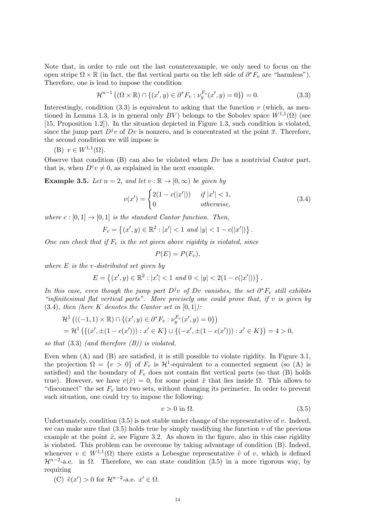Note that, in order to rule out the last counterexample, we only need to focus on the open stripe  $\Omega \times \mathbb{R}$  (in fact, the flat vertical parts on the left side of  $\partial^* F_v$  are "harmless"). Therefore, one is lead to impose the condition

$$
\mathcal{H}^{n-1}((\Omega \times \mathbb{R}) \cap \{(x',y) \in \partial^* F_v : \nu_y^{F_v}(x',y) = 0\}) = 0.
$$
 (3.3)

Interestingly, condition  $(3.3)$  is equivalent to asking that the function v (which, as mentioned in Lemma 1.3, is in general only  $BV$ ) belongs to the Sobolev space  $W^{1,1}(\Omega)$  (see [15, Proposition 1.2]). In the situation depicted in Figure 1.3, such condition is violated, since the jump part  $D^{j}v$  of Dv is nonzero, and is concentrated at the point  $\bar{x}$ . Therefore, the second condition we will impose is

$$
(B) v \in W^{1,1}(\Omega).
$$

Observe that condition  $(B)$  can also be violated when  $Dv$  has a nontrivial Cantor part, that is, when  $D^c v \neq 0$ , as explained in the next example.

**Example 3.5.** Let  $n = 2$ , and let  $v : \mathbb{R} \to [0, \infty)$  be given by

$$
v(x') = \begin{cases} 2(1 - c(|x'|)) & if |x'| < 1, \\ 0 & otherwise, \end{cases}
$$
 (3.4)

where  $c : [0,1] \rightarrow [0,1]$  is the standard Cantor function. Then,

$$
F_v = \{(x', y) \in \mathbb{R}^2 : |x'| < 1 \text{ and } |y| < 1 - c(|x'|)\}.
$$

One can check that if  $F_v$  is the set given above rigidity is violated, since

$$
P(E) = P(F_v),
$$

where  $E$  is the v-distributed set given by

$$
E = \left\{ (x', y) \in \mathbb{R}^2 : |x'| < 1 \text{ and } 0 < |y| < 2(1 - c(|x'|)) \right\}.
$$

In this case, even though the jump part  $D^jv$  of Dv vanishes, the set  $\partial^*F_v$  still exhibits "infinitesimal flat vertical parts". More precisely one could prove that, if v is given by  $(3.4)$ , then (here K denotes the Cantor set in  $[0,1]$ ):

$$
\mathcal{H}^1 \left( ((-1,1) \times \mathbb{R}) \cap \{ (x',y) \in \partial^* F_v : \nu_y^{F_v}(x',y) = 0 \} \right)
$$
  
=  $\mathcal{H}^1 \left( \{ (x', \pm (1 - c(x'))) : x' \in K \} \cup \{ (-x', \pm (1 - c(x'))) : x' \in K \} \right) = 4 > 0,$ 

so that  $(3.3)$  (and therefore  $(B)$ ) is violated.

Even when (A) and (B) are satisfied, it is still possible to violate rigidity. In Figure 3.1, the projection  $\Omega = \{v > 0\}$  of  $F_v$  is  $\mathcal{H}^1$ -equivalent to a connected segment (so (A) is satisfied) and the boundary of  $F_v$  does not contain flat vertical parts (so that  $(B)$  holds true). However, we have  $v(\hat{x}) = 0$ , for some point  $\hat{x}$  that lies inside  $\Omega$ . This allows to "disconnect" the set  $F_v$  into two sets, without changing its perimeter. In order to prevent such situation, one could try to impose the following:

$$
v > 0 \text{ in } \Omega. \tag{3.5}
$$

Unfortunately, condition  $(3.5)$  is not stable under change of the representative of v. Indeed, we can make sure that  $(3.5)$  holds true by simply modifying the function v of the previous example at the point  $\hat{x}$ , see Figure 3.2. As shown in the figure, also in this case rigidity is violated. This problem can be overcome by taking advantage of condition (B). Indeed, whenever  $v \in W^{1,1}(\Omega)$  there exists a Lebesgue representative  $\tilde{v}$  of v, which is defined  $\mathcal{H}^{n-2}$ -a.e. in  $\Omega$ . Therefore, we can state condition (3.5) in a more rigorous way, by requiring

(C) 
$$
\tilde{v}(x') > 0
$$
 for  $\mathcal{H}^{n-2}$ -a.e.  $x' \in \Omega$ .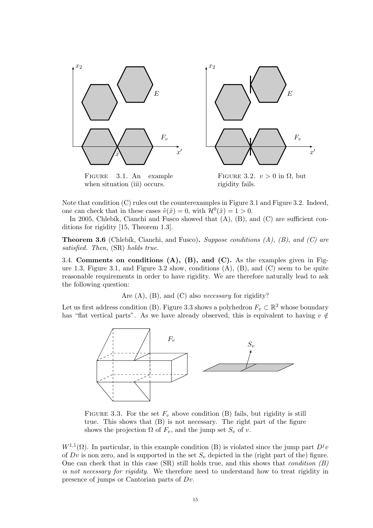

Figure 3.1. An example when situation (iii) occurs.

FIGURE 3.2.  $v > 0$  in  $\Omega$ , but rigidity fails.

Note that condition (C) rules out the counterexamples in Figure 3.1 and Figure 3.2. Indeed, one can check that in these cases  $\tilde{v}(\hat{x}) = 0$ , with  $\mathcal{H}^0(\hat{x}) = 1 > 0$ .

In 2005, Chlebík, Cianchi and Fusco showed that  $(A)$ ,  $(B)$ , and  $(C)$  are sufficient conditions for rigidity [15, Theorem 1.3].

**Theorem 3.6** (Chlebík, Cianchi, and Fusco). Suppose conditions  $(A)$ ,  $(B)$ , and  $(C)$  are satisfied. Then, (SR) holds true.

3.4. Comments on conditions  $(A)$ ,  $(B)$ , and  $(C)$ . As the examples given in Figure 1.3, Figure 3.1, and Figure 3.2 show, conditions  $(A)$ ,  $(B)$ , and  $(C)$  seem to be quite reasonable requirements in order to have rigidity. We are therefore naturally lead to ask the following question:

Are  $(A)$ ,  $(B)$ , and  $(C)$  also *necessary* for rigidity?

Let us first address condition (B). Figure 3.3 shows a polyhedron  $F_v \subset \mathbb{R}^3$  whose boundary has "flat vertical parts". As we have already observed, this is equivalent to having  $v \notin$ 



FIGURE 3.3. For the set  $F_v$  above condition (B) fails, but rigidity is still true. This shows that (B) is not necessary. The right part of the figure shows the projection  $\Omega$  of  $F_v$ , and the jump set  $S_v$  of v.

 $W^{1,1}(\Omega)$ . In particular, in this example condition (B) is violated since the jump part  $D^j v$ of  $Dv$  is non zero, and is supported in the set  $S_v$  depicted in the (right part of the) figure. One can check that in this case (SR) still holds true, and this shows that *condition*  $(B)$ is not necessary for rigidity. We therefore need to understand how to treat rigidity in presence of jumps or Cantorian parts of Dv.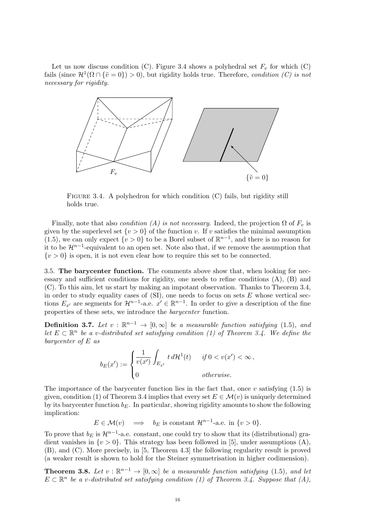Let us now discuss condition (C). Figure 3.4 shows a polyhedral set  $F_v$  for which (C) fails (since  $\mathcal{H}^1(\Omega \cap {\tilde{v}} = 0) > 0$ ), but rigidity holds true. Therefore, condition (C) is not necessary for rigidity.



FIGURE 3.4. A polyhedron for which condition  $(C)$  fails, but rigidity still holds true.

Finally, note that also *condition (A) is not necessary*. Indeed, the projection  $\Omega$  of  $F_v$  is given by the superlevel set  $\{v > 0\}$  of the function v. If v satisfies the minimal assumption (1.5), we can only expect  $\{v > 0\}$  to be a Borel subset of  $\mathbb{R}^{n-1}$ , and there is no reason for it to be  $\mathcal{H}^{n-1}$ -equivalent to an open set. Note also that, if we remove the assumption that  $\{v > 0\}$  is open, it is not even clear how to require this set to be connected.

3.5. The barycenter function. The comments above show that, when looking for necessary and sufficient conditions for rigidity, one needs to refine conditions (A), (B) and (C). To this aim, let us start by making an impotant observation. Thanks to Theorem 3.4, in order to study equality cases of  $(SI)$ , one needs to focus on sets E whose vertical sections  $E_{x'}$  are segments for  $\mathcal{H}^{n-1}$ -a.e.  $x' \in \mathbb{R}^{n-1}$ . In order to give a description of the fine properties of these sets, we introduce the barycenter function.

**Definition 3.7.** Let  $v : \mathbb{R}^{n-1} \to [0, \infty]$  be a measurable function satisfying (1.5), and let  $E \subset \mathbb{R}^n$  be a v-distributed set satisfying condition (1) of Theorem 3.4. We define the barycenter of E as

$$
b_E(x') := \begin{cases} \frac{1}{v(x')} \int_{E_{x'}} t d\mathcal{H}^1(t) & \text{if } 0 < v(x') < \infty, \\ 0 & \text{otherwise.} \end{cases}
$$

The importance of the barycenter function lies in the fact that, once v satisfying  $(1.5)$  is given, condition (1) of Theorem 3.4 implies that every set  $E \in \mathcal{M}(v)$  is uniquely determined by its barycenter function  $b_E$ . In particular, showing rigidity amounts to show the following implication:

 $E \in \mathcal{M}(v) \implies b_E$  is constant  $\mathcal{H}^{n-1}$ -a.e. in  $\{v > 0\}.$ 

To prove that  $b_E$  is  $\mathcal{H}^{n-1}$ -a.e. constant, one could try to show that its (distributional) gradient vanishes in  $\{v > 0\}$ . This strategy has been followed in [5], under assumptions (A), (B), and (C). More precisely, in [5, Theorem 4.3] the following regularity result is proved (a weaker result is shown to hold for the Steiner symmetrisation in higher codimension).

**Theorem 3.8.** Let  $v : \mathbb{R}^{n-1} \to [0, \infty]$  be a measurable function satisfying (1.5), and let  $E \subset \mathbb{R}^n$  be a v-distributed set satisfying condition (1) of Theorem 3.4. Suppose that (A),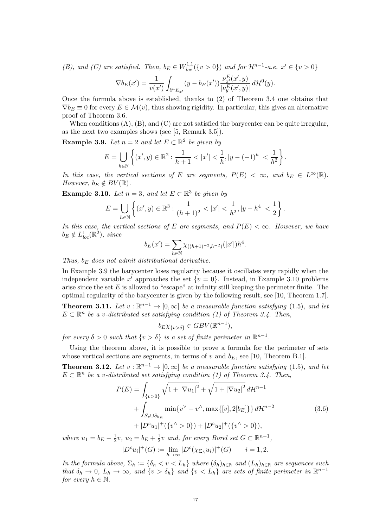(B), and (C) are satisfied. Then,  $b_E \in W_{loc}^{1,1}(\{v > 0\})$  and for  $\mathcal{H}^{n-1}$ -a.e.  $x' \in \{v > 0\}$ 

$$
\nabla b_E(x') = \frac{1}{v(x')} \int_{\partial^* E_{x'}} (y - b_E(x')) \frac{\nu_{x'}^E(x', y)}{|\nu_y^E(x', y)|} d\mathcal{H}^0(y).
$$

Once the formula above is established, thanks to (2) of Theorem 3.4 one obtains that  $\nabla b_E \equiv 0$  for every  $E \in \mathcal{M}(v)$ , thus showing rigidity. In particular, this gives an alternative proof of Theorem 3.6.

When conditions  $(A)$ ,  $(B)$ , and  $(C)$  are not satisfied the barycenter can be quite irregular, as the next two examples shows (see [5, Remark 3.5]).

**Example 3.9.** Let  $n = 2$  and let  $E \subset \mathbb{R}^2$  be given by

$$
E = \bigcup_{h \in \mathbb{N}} \left\{ (x', y) \in \mathbb{R}^2 : \frac{1}{h+1} < |x'| < \frac{1}{h}, |y - (-1)^h| < \frac{1}{h^2} \right\}.
$$

In this case, the vertical sections of E are segments,  $P(E) < \infty$ , and  $b_E \in L^{\infty}(\mathbb{R})$ . However,  $b_E \notin BV(\mathbb{R})$ .

**Example 3.10.** Let  $n = 3$ , and let  $E \subset \mathbb{R}^3$  be given by

$$
E = \bigcup_{h \in \mathbb{N}} \left\{ (x', y) \in \mathbb{R}^3 : \frac{1}{(h+1)^2} < |x'| < \frac{1}{h^2}, |y - h^4| < \frac{1}{2} \right\}.
$$

In this case, the vertical sections of E are segments, and  $P(E) < \infty$ . However, we have  $b_E \notin L^1_{loc}(\mathbb{R}^2)$ , since

$$
b_E(x') = \sum_{h \in \mathbb{N}} \chi_{((h+1)^{-2}, h^{-2})}(|x'|)h^4.
$$

Thus,  $b_E$  does not admit distributional derivative.

In Example 3.9 the barycenter loses regularity because it oscillates very rapidly when the independent variable x' approaches the set  $\{v = 0\}$ . Instead, in Example 3.10 problems arise since the set  $E$  is allowed to "escape" at infinity still keeping the perimeter finite. The optimal regularity of the barycenter is given by the following result, see [10, Theorem 1.7].

**Theorem 3.11.** Let  $v : \mathbb{R}^{n-1} \to [0, \infty]$  be a measurable function satisfying (1.5), and let  $E \subset \mathbb{R}^n$  be a v-distributed set satisfying condition (1) of Theorem 3.4. Then,

$$
b_E \chi_{\{v > \delta\}} \in GBV(\mathbb{R}^{n-1}),
$$

for every  $\delta > 0$  such that  $\{v > \delta\}$  is a set of finite perimeter in  $\mathbb{R}^{n-1}$ .

Using the theorem above, it is possible to prove a formula for the perimeter of sets whose vertical sections are segments, in terms of v and  $b_E$ , see [10, Theorem B.1].

**Theorem 3.12.** Let  $v : \mathbb{R}^{n-1} \to [0, \infty]$  be a measurable function satisfying (1.5), and let  $E \subset \mathbb{R}^n$  be a v-distributed set satisfying condition (1) of Theorem 3.4. Then,

$$
P(E) = \int_{\{v>0\}} \sqrt{1 + |\nabla u_1|^2} + \sqrt{1 + |\nabla u_2|^2} d\mathcal{H}^{n-1}
$$
  
+ 
$$
\int_{S_v \cup S_{b_E}} \min \{v^\vee + v^\wedge, \max \{[v], 2[b_E]\} \} d\mathcal{H}^{n-2}
$$
  
+ 
$$
|D^c u_1|^+ (\{v^\wedge > 0\}) + |D^c u_2|^+ (\{v^\wedge > 0\}),
$$
  

where  $u_1 = b_E - \frac{1}{2}$  $\frac{1}{2}v, u_2 = b_E + \frac{1}{2}$  $\frac{1}{2}v$  and, for every Borel set  $G \subset \mathbb{R}^{n-1}$ ,  $|D^c u_i|^+(G) := \lim_{h \to \infty} |D^c(\chi_{\Sigma_h} u_i)|^+(G) \qquad i = 1, 2.$ 

In the formula above,  $\Sigma_h := \{\delta_h < v < L_h\}$  where  $(\delta_h)_{h \in \mathbb{N}}$  and  $(L_h)_{h \in \mathbb{N}}$  are sequences such that  $\delta_h \to 0$ ,  $L_h \to \infty$ , and  $\{v > \delta_h\}$  and  $\{v < L_h\}$  are sets of finite perimeter in  $\mathbb{R}^{n-1}$ for every  $h \in \mathbb{N}$ .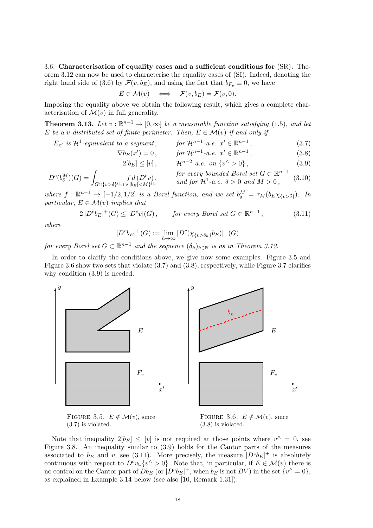3.6. Characterisation of equality cases and a sufficient conditions for (SR). Theorem 3.12 can now be used to characterise the equality cases of (SI). Indeed, denoting the right hand side of (3.6) by  $\mathcal{F}(v, b_E)$ , and using the fact that  $b_{F_v} \equiv 0$ , we have

$$
E \in \mathcal{M}(v) \quad \Longleftrightarrow \quad \mathcal{F}(v, b_E) = \mathcal{F}(v, 0).
$$

Imposing the equality above we obtain the following result, which gives a complete characterisation of  $\mathcal{M}(v)$  in full generality.

**Theorem 3.13.** Let  $v : \mathbb{R}^{n-1} \to [0, \infty]$  be a measurable function satisfying (1.5), and let E be a v-distributed set of finite perimeter. Then,  $E \in \mathcal{M}(v)$  if and only if

$$
E_{x'} \text{ is } \mathcal{H}^1\text{-}equivalent to a segment, \qquad \text{for } \mathcal{H}^{n-1}\text{-}a.e. \ x' \in \mathbb{R}^{n-1}, \tag{3.7}
$$

$$
\nabla b_E(x') = 0, \tfor \mathcal{H}^{n-1} \text{-} a.e. \ x' \in \mathbb{R}^{n-1}, \t(3.8)
$$

$$
2[b_E] \le [v], \qquad \mathcal{H}^{n-2}\text{-}a.e. \text{ on } \{v^{\wedge} > 0\},\tag{3.9}
$$

$$
D^{c}(b_{\delta}^{M})(G) = \int_{G \cap \{v > \delta\}^{(1)} \cap \{|b_{E}| < M\}^{(1)}} f d(D^{c}v), \qquad \text{for every bounded Borel set } G \subset \mathbb{R}^{n-1} \quad (3.10)
$$
  
and for  $\mathcal{H}^{1}\text{-}a.e. \delta > 0$  and  $M > 0$ ,

where  $f: \mathbb{R}^{n-1} \to [-1/2, 1/2]$  is a Borel function, and we set  $b_{\delta}^M = \tau_M(b_E \chi_{\{v > \delta\}})$ . In particular,  $E \in \mathcal{M}(v)$  implies that

$$
2|D^c b_E|^+(G) \le |D^c v|(G), \qquad \text{for every Borel set } G \subset \mathbb{R}^{n-1}, \tag{3.11}
$$

where

$$
|D^c b_E|^+(G) := \lim_{h \to \infty} |D^c(\chi_{\{v > \delta_h\}} b_E)|^+(G)
$$

for every Borel set  $G \subset \mathbb{R}^{n-1}$  and the sequence  $(\delta_h)_{h \in \mathbb{N}}$  is as in Theorem 3.12.

In order to clarify the conditions above, we give now some examples. Figure 3.5 and Figure 3.6 show two sets that violate (3.7) and (3.8), respectively, while Figure 3.7 clarifies why condition (3.9) is needed.



FIGURE 3.5.  $E \notin \mathcal{M}(v)$ , since (3.7) is violated.

FIGURE 3.6.  $E \notin \mathcal{M}(v)$ , since (3.8) is violated.

Note that inequality  $2[b_E] \leq [v]$  is not required at those points where  $v^{\wedge} = 0$ , see Figure 3.8. An inequality similar to (3.9) holds for the Cantor parts of the measures associated to  $b_E$  and v, see (3.11). More precisely, the measure  $|D^c b_E|^+$  is absolutely continuous with respect to  $D^c v \in \{v' > 0\}$ . Note that, in particular, if  $E \in \mathcal{M}(v)$  there is no control on the Cantor part of  $Db_E$  (or  $|D^c b_E|^+$ , when  $b_E$  is not  $BV$ ) in the set  $\{v^{\wedge} = 0\}$ , as explained in Example 3.14 below (see also [10, Remark 1.31]).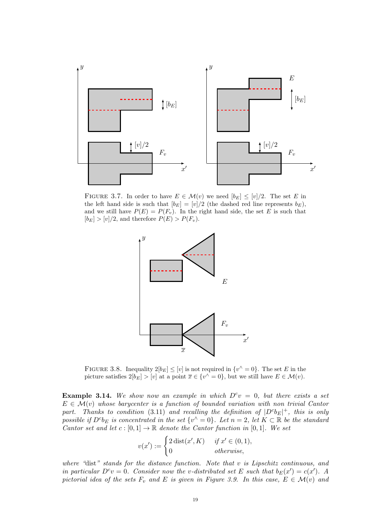

FIGURE 3.7. In order to have  $E \in \mathcal{M}(v)$  we need  $[b_E] \leq [v]/2$ . The set E in the left hand side is such that  $[b_E] = [v]/2$  (the dashed red line represents  $b_E$ ), and we still have  $P(E) = P(F_v)$ . In the right hand side, the set E is such that  $[b_E] > [v]/2$ , and therefore  $P(E) > P(F_v)$ .



FIGURE 3.8. Inequality  $2[b_E] \leq [v]$  is not required in  $\{v^{\wedge} = 0\}$ . The set E in the picture satisfies  $2[b_E] > [v]$  at a point  $\overline{x} \in \{v' = 0\}$ , but we still have  $E \in \mathcal{M}(v)$ .

**Example 3.14.** We show now an example in which  $D^c v = 0$ , but there exists a set  $E \in \mathcal{M}(v)$  whose barycenter is a function of bounded variation with non trivial Cantor part. Thanks to condition (3.11) and recalling the definition of  $|D^c b_E|^+$ , this is only possible if  $D^c b_E$  is concentrated in the set  $\{v^{\wedge} = 0\}$ . Let  $n = 2$ , let  $K \subset \mathbb{R}$  be the standard Cantor set and let  $c : [0,1] \to \mathbb{R}$  denote the Cantor function in [0,1]. We set

$$
v(x') := \begin{cases} 2 \operatorname{dist}(x', K) & \text{if } x' \in (0, 1), \\ 0 & \text{otherwise,} \end{cases}
$$

where "dist" stands for the distance function. Note that v is Lipschitz continuous, and in particular  $D^c v = 0$ . Consider now the v-distributed set E such that  $b_E(x') = c(x')$ . A pictorial idea of the sets  $F_v$  and E is given in Figure 3.9. In this case,  $E \in \mathcal{M}(v)$  and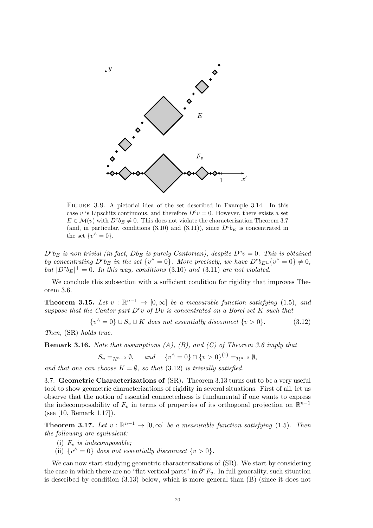

Figure 3.9. A pictorial idea of the set described in Example 3.14. In this case v is Lipschitz continuous, and therefore  $D^c v = 0$ . However, there exists a set  $E \in \mathcal{M}(v)$  with  $D^c b_E \neq 0$ . This does not violate the characterization Theorem 3.7 (and, in particular, conditions  $(3.10)$  and  $(3.11)$ ), since  $D^c b_E$  is concentrated in the set  $\{v^{\wedge} = 0\}.$ 

 $D^c b_E$  is non trivial (in fact,  $D b_E$  is purely Cantorian), despite  $D^c v = 0$ . This is obtained by concentrating  $D^c b_E$  in the set  $\{v^{\hat{ }} = 0\}$ . More precisely, we have  $D^c b_E \downarrow \{v^{\hat{ }} = 0\} \neq 0$ , but  $|D^c b_E|^+ = 0$ . In this way, conditions (3.10) and (3.11) are not violated.

We conclude this subsection with a sufficient condition for rigidity that improves Theorem 3.6.

**Theorem 3.15.** Let  $v : \mathbb{R}^{n-1} \to [0, \infty]$  be a measurable function satisfying (1.5), and suppose that the Cantor part  $D^c v$  of  $Dv$  is concentrated on a Borel set K such that

$$
\{v^{\wedge} = 0\} \cup S_v \cup K \text{ does not essentially disconnect } \{v > 0\}. \tag{3.12}
$$

Then, (SR) holds true.

**Remark 3.16.** Note that assumptions  $(A)$ ,  $(B)$ , and  $(C)$  of Theorem 3.6 imply that

$$
S_v =_{\mathcal{H}^{n-2}} \emptyset
$$
, and  $\{v^{\wedge} = 0\} \cap \{v > 0\}^{(1)} =_{\mathcal{H}^{n-2}} \emptyset$ ,

and that one can choose  $K = \emptyset$ , so that (3.12) is trivially satisfied.

3.7. Geometric Characterizations of (SR). Theorem 3.13 turns out to be a very useful tool to show geometric characterizations of rigidity in several situations. First of all, let us observe that the notion of essential connectedness is fundamental if one wants to express the indecomposability of  $F_v$  in terms of properties of its orthogonal projection on  $\mathbb{R}^{n-1}$ (see [10, Remark 1.17]).

**Theorem 3.17.** Let  $v : \mathbb{R}^{n-1} \to [0, \infty]$  be a measurable function satisfying (1.5). Then the following are equivalent:

- (i)  $F_v$  is indecomposable;
- (ii)  $\{v^{\wedge} = 0\}$  does not essentially disconnect  $\{v > 0\}.$

We can now start studying geometric characterizations of (SR). We start by considering the case in which there are no "flat vertical parts" in  $\partial^* F_v$ . In full generality, such situation is described by condition (3.13) below, which is more general than (B) (since it does not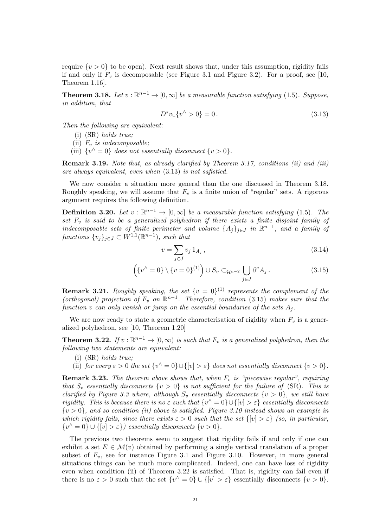require  $\{v > 0\}$  to be open). Next result shows that, under this assumption, rigidity fails if and only if  $F_v$  is decomposable (see Figure 3.1 and Figure 3.2). For a proof, see [10, Theorem 1.16].

**Theorem 3.18.** Let  $v : \mathbb{R}^{n-1} \to [0, \infty]$  be a measurable function satisfying (1.5). Suppose, in addition, that

$$
D^s v \downarrow \{v^\wedge > 0\} = 0. \tag{3.13}
$$

Then the following are equivalent:

(i) (SR) holds true;

(ii)  $F_v$  is indecomposable;

(iii)  $\{v^{\wedge} = 0\}$  does not essentially disconnect  $\{v > 0\}.$ 

Remark 3.19. Note that, as already clarified by Theorem 3.17, conditions (ii) and (iii) are always equivalent, even when (3.13) is not safistied.

We now consider a situation more general than the one discussed in Theorem 3.18. Roughly speaking, we will assume that  $F_v$  is a finite union of "regular" sets. A rigorous argument requires the following definition.

**Definition 3.20.** Let  $v : \mathbb{R}^{n-1} \to [0, \infty]$  be a measurable function satisfying (1.5). The set  $F_v$  is said to be a generalized polyhedron if there exists a finite disjoint family of indecomposable sets of finite perimeter and volume  $\{A_j\}_{j\in J}$  in  $\mathbb{R}^{n-1}$ , and a family of functions  $\{v_j\}_{j\in J} \subset W^{1,1}(\mathbb{R}^{n-1})$ , such that

$$
v = \sum_{j \in J} v_j \, 1_{A_j} \,, \tag{3.14}
$$

$$
\left(\left\{v^{\wedge}=0\right\} \setminus \left\{v=0\right\}^{(1)}\right) \cup S_v \subset_{\mathcal{H}^{n-2}} \bigcup_{j \in J} \partial^e A_j. \tag{3.15}
$$

**Remark 3.21.** Roughly speaking, the set  $\{v = 0\}^{(1)}$  represents the complement of the (orthogonal) projection of  $F_v$  on  $\mathbb{R}^{n-1}$ . Therefore, condition (3.15) makes sure that the function v can only vanish or jump on the essential boundaries of the sets  $A_i$ .

We are now ready to state a geometric characterisation of rigidity when  $F_v$  is a generalized polyhedron, see [10, Theorem 1.20]

**Theorem 3.22.** If  $v : \mathbb{R}^{n-1} \to [0, \infty)$  is such that  $F_v$  is a generalized polyhedron, then the following two statements are equivalent:

(i) (SR) holds true;

(ii) for every  $\varepsilon > 0$  the set  $\{v^{\wedge} = 0\} \cup \{[v] > \varepsilon\}$  does not essentially disconnect  $\{v > 0\}$ .

**Remark 3.23.** The theorem above shows that, when  $F_v$  is "piecewise regular", requiring that  $S_v$  essentially disconnects  $\{v > 0\}$  is not sufficient for the failure of  $(S_R)$ . This is clarified by Figure 3.3 where, although  $S_v$  essentially disconnects  $\{v > 0\}$ , we still have rigidity. This is because there is no  $\varepsilon$  such that  $\{v^{\wedge} = 0\} \cup \{[v] > \varepsilon\}$  essentially disconnects  $\{v>0\}$ , and so condition (ii) above is satisfied. Figure 3.10 instead shows an example in which rigidity fails, since there exists  $\varepsilon > 0$  such that the set  $\{|v| > \varepsilon\}$  (so, in particular,  $\{v^{\wedge} = 0\} \cup \{[v] > \varepsilon\}$  essentially disconnects  $\{v > 0\}.$ 

The previous two theorems seem to suggest that rigidity fails if and only if one can exhibit a set  $E \in \mathcal{M}(v)$  obtained by performing a single vertical translation of a proper subset of  $F_v$ , see for instance Figure 3.1 and Figure 3.10. However, in more general situations things can be much more complicated. Indeed, one can have loss of rigidity even when condition (ii) of Theorem 3.22 is satisfied. That is, rigidity can fail even if there is no  $\varepsilon > 0$  such that the set  $\{v^{\wedge} = 0\} \cup \{[v] > \varepsilon\}$  essentially disconnects  $\{v > 0\}$ .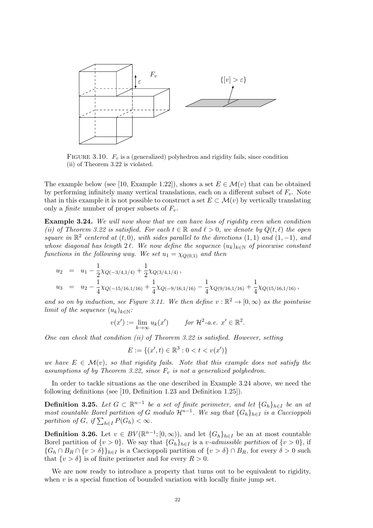

FIGURE 3.10.  $F_v$  is a (generalized) polyhedron and rigidity fails, since condition (ii) of Theorem 3.22 is violated.

The example below (see [10, Example 1.22]), shows a set  $E \in \mathcal{M}(v)$  that can be obtained by performing infinitely many vertical translations, each on a different subset of  $F_v$ . Note that in this example it is not possible to construct a set  $E \subset \mathcal{M}(v)$  by vertically translating only a *finite* number of proper subsets of  $F_v$ .

Example 3.24. We will now show that we can have loss of rigidity even when condition (ii) of Theorem 3.22 is satisfied. For each  $t \in \mathbb{R}$  and  $\ell > 0$ , we denote by  $Q(t, \ell)$  the open square in  $\mathbb{R}^2$  centered at  $(t, 0)$ , with sides parallel to the directions  $(1, 1)$  and  $(1, -1)$ , and whose diagonal has length 2 $\ell$ . We now define the sequence  $(u_k)_{k\in\mathbb{N}}$  of piecewise constant functions in the following way. We set  $u_1 = \chi_{O(0,1)}$  and then

$$
u_2 = u_1 - \frac{1}{2}\chi_{Q(-3/4,1/4)} + \frac{1}{2}\chi_{Q(3/4,1/4)},
$$
  
\n
$$
u_3 = u_2 - \frac{1}{4}\chi_{Q(-15/16,1/16)} + \frac{1}{4}\chi_{Q(-9/16,1/16)} - \frac{1}{4}\chi_{Q(9/16,1/16)} + \frac{1}{4}\chi_{Q(15/16,1/16)},
$$

and so on by induction, see Figure 3.11. We then define  $v : \mathbb{R}^2 \to [0, \infty)$  as the pointwise limit of the sequence  $(u_k)_{k\in\mathbb{N}}$ :

$$
v(x') := \lim_{k \to \infty} u_k(x') \qquad \text{for } \mathcal{H}^2 \text{-a.e. } x' \in \mathbb{R}^2.
$$

One can check that condition (ii) of Theorem 3.22 is satisfied. However, setting

$$
E := \{(x', t) \in \mathbb{R}^3 : 0 < t < v(x')\}
$$

we have  $E \in \mathcal{M}(v)$ , so that rigidity fails. Note that this example does not satisfy the assumptions of by Theorem 3.22, since  $F_v$  is not a generalized polyhedron.

In order to tackle situations as the one described in Example 3.24 above, we need the following definitions (see [10, Definition 1.23 and Definition 1.25]).

**Definition 3.25.** Let  $G \subset \mathbb{R}^{n-1}$  be a set of finite perimeter, and let  $\{G_h\}_{h \in I}$  be an at most countable Borel partition of G modulo  $\mathcal{H}^{n-1}$ . We say that  $\{G_h\}_{h\in I}$  is a Caccioppoli partition of  $G$ , if  $\sum_{h\in I} P(G_h) < \infty$ .

**Definition 3.26.** Let  $v \in BV(\mathbb{R}^{n-1}; [0, \infty))$ , and let  $\{G_h\}_{h \in I}$  be an at most countable Borel partition of  $\{v > 0\}$ . We say that  $\{G_h\}_{h \in I}$  is a *v*-admissible partition of  $\{v > 0\}$ , if  ${G_h \cap B_R \cap \{v > \delta\}}_{h \in I}$  is a Caccioppoli partition of  ${v > \delta} \cap B_R$ , for every  $\delta > 0$  such that  $\{v > \delta\}$  is of finite perimeter and for every  $R > 0$ .

We are now ready to introduce a property that turns out to be equivalent to rigidity, when  $v$  is a special function of bounded variation with locally finite jump set.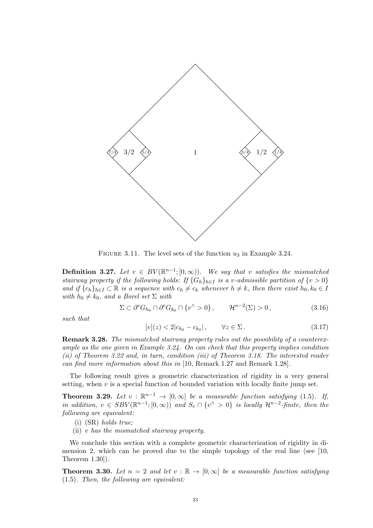

FIGURE 3.11. The level sets of the function  $u_3$  in Example 3.24.

**Definition 3.27.** Let  $v \in BV(\mathbb{R}^{n-1}; [0, \infty))$ . We say that v satisfies the mismatched stairway property if the following holds: If  $\{G_h\}_{h\in I}$  is a v-admissible partition of  $\{v > 0\}$ and if  $\{c_h\}_{h\in I} \subset \mathbb{R}$  is a sequence with  $c_h \neq c_k$  whenever  $h \neq k$ , then there exist  $h_0, k_0 \in I$ with  $h_0 \neq k_0$ , and a Borel set  $\Sigma$  with

$$
\Sigma \subset \partial^{\mathbf{e}} G_{h_0} \cap \partial^{\mathbf{e}} G_{k_0} \cap \{v^{\wedge} > 0\}, \qquad \mathcal{H}^{n-2}(\Sigma) > 0,
$$
\n(3.16)

such that

$$
[v](z) < 2|c_{h_0} - c_{k_0}|\,, \qquad \forall z \in \Sigma\,. \tag{3.17}
$$

Remark 3.28. The mismatched stairway property rules out the possibility of a counterexample as the one given in Example 3.24. On can check that this property implies condition (ii) of Theorem 3.22 and, in turn, condition (iii) of Theorem 3.18. The interested reader can find more information about this in [10, Remark 1.27 and Remark 1.28].

The following result gives a geometric characterization of rigidity in a very general setting, when  $v$  is a special function of bounded variation with locally finite jump set.

**Theorem 3.29.** Let  $v : \mathbb{R}^{n-1} \to [0,\infty]$  be a measurable function satisfying (1.5). If, in addition,  $v \in SBV(\mathbb{R}^{n-1}; [0, \infty))$  and  $S_v \cap \{v^{\wedge} > 0\}$  is locally  $\mathcal{H}^{n-2}$ -finite, then the following are equivalent:

- (i) (SR) holds true;
- (ii) v has the mismatched stairway property.

We conclude this section with a complete geometric characterization of rigidity in dimension 2, which can be proved due to the simple topology of the real line (see [10, Theorem 1.30]).

**Theorem 3.30.** Let  $n = 2$  and let  $v : \mathbb{R} \to [0, \infty]$  be a measurable function satisfying (1.5). Then, the following are equivalent: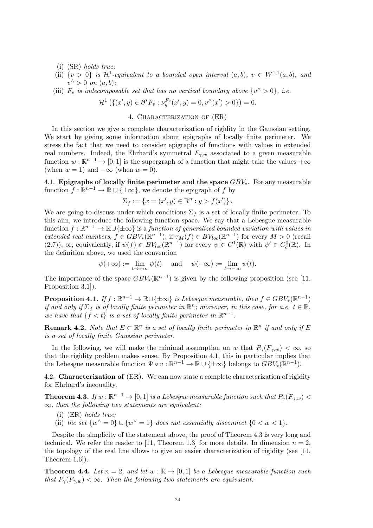- (i) (SR) holds true;
- (ii)  $\{v > 0\}$  is  $\mathcal{H}^1$ -equivalent to a bounded open interval  $(a, b)$ ,  $v \in W^{1,1}(a, b)$ , and  $v^{\wedge} > 0$  on  $(a, b)$ ;
- (iii)  $F_v$  is indecomposable set that has no vertical boundary above  $\{v' > 0\}$ , i.e.

$$
\mathcal{H}^1\left(\{(x',y)\in \partial^*F_v: \nu_y^{F_v}(x',y)=0, v^{\hat{ }}(x')>0\}\right)=0.
$$

#### 4. Characterization of (ER)

In this section we give a complete characterization of rigidity in the Gaussian setting. We start by giving some information about epigraphs of locally finite perimeter. We stress the fact that we need to consider epigraphs of functions with values in extended real numbers. Indeed, the Ehrhard's symmetral  $F_{\gamma,w}$  associated to a given measurable function  $w : \mathbb{R}^{n-1} \to [0,1]$  is the supergraph of a function that might take the values  $+\infty$ (when  $w = 1$ ) and  $-\infty$  (when  $w = 0$ ).

4.1. Epigraphs of locally finite perimeter and the space  $GBV_*$ . For any measurable function  $f : \mathbb{R}^{n-1} \to \mathbb{R} \cup \{\pm \infty\}$ , we denote the epigraph of f by

$$
\Sigma_f := \{ x = (x', y) \in \mathbb{R}^n : y > f(x') \}.
$$

We are going to discuss under which conditions  $\Sigma_f$  is a set of locally finite perimeter. To this aim, we introduce the following function space. We say that a Lebesgue measurable function  $f: \mathbb{R}^{n-1} \to \mathbb{R} \cup {\pm \infty}$  is a function of generalized bounded variation with values in extended real numbers,  $f \in GBV_{*}(\mathbb{R}^{n-1})$ , if  $\tau_M(f) \in BV_{loc}(\mathbb{R}^{n-1})$  for every  $M > 0$  (recall (2.7)), or, equivalently, if  $\psi(f) \in BV_{loc}(\mathbb{R}^{n-1})$  for every  $\psi \in C^1(\mathbb{R})$  with  $\psi' \in C^0_c(\mathbb{R})$ . In the definition above, we used the convention

$$
\psi(+\infty):=\lim_{t\to+\infty}\psi(t)\quad\text{ and }\quad\psi(-\infty):=\lim_{t\to-\infty}\psi(t).
$$

The importance of the space  $GBV_*(\mathbb{R}^{n-1})$  is given by the following proposition (see [11, Proposition 3.1]).

**Proposition 4.1.** If  $f : \mathbb{R}^{n-1} \to \mathbb{R} \cup {\pm \infty}$  is Lebesgue measurable, then  $f \in GBV_*(\mathbb{R}^{n-1})$ if and only if  $\Sigma_f$  is of locally finite perimeter in  $\mathbb{R}^n$ ; moreover, in this case, for a.e.  $t \in \mathbb{R}$ , we have that  $\{f < t\}$  is a set of locally finite perimeter in  $\mathbb{R}^{n-1}$ .

**Remark 4.2.** Note that  $E \subset \mathbb{R}^n$  is a set of locally finite perimeter in  $\mathbb{R}^n$  if and only if E is a set of locally finite Gaussian perimeter.

In the following, we will make the minimal assumption on w that  $P_{\gamma}(F_{\gamma,w}) < \infty$ , so that the rigidity problem makes sense. By Proposition 4.1, this in particular implies that the Lebesgue measurable function  $\Psi \circ v : \mathbb{R}^{n-1} \to \mathbb{R} \cup {\{\pm \infty\}}$  belongs to  $GBV_*(\mathbb{R}^{n-1})$ .

4.2. Characterization of (ER). We can now state a complete characterization of rigidity for Ehrhard's inequality.

**Theorem 4.3.** If  $w : \mathbb{R}^{n-1} \to [0,1]$  is a Lebesgue measurable function such that  $P_{\gamma}(F_{\gamma,w})$  $\infty$ , then the following two statements are equivalent:

- (i) (ER) holds true;
- (ii) the set  $\{w^{\wedge} = 0\} \cup \{w^{\vee} = 1\}$  does not essentially disconnect  $\{0 < w < 1\}.$

Despite the simplicity of the statement above, the proof of Theorem 4.3 is very long and technical. We refer the reader to [11, Theorem 1.3] for more details. In dimension  $n = 2$ , the topology of the real line allows to give an easier characterization of rigidity (see [11, Theorem 1.6]).

**Theorem 4.4.** Let  $n = 2$ , and let  $w : \mathbb{R} \to [0, 1]$  be a Lebesque measurable function such that  $P_{\gamma}(F_{\gamma,w}) < \infty$ . Then the following two statements are equivalent: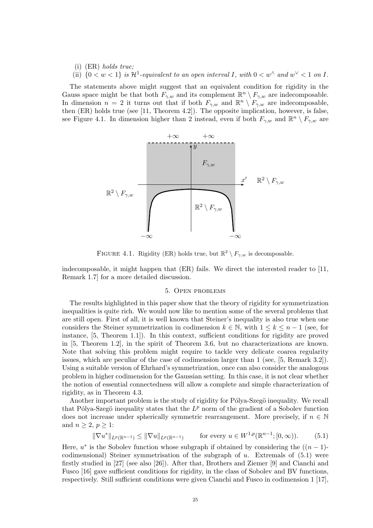(i) (ER) holds true; (ii)  $\{0 < w < 1\}$  is  $\mathcal{H}^1$ -equivalent to an open interval I, with  $0 < w^\wedge$  and  $w^\vee < 1$  on I.

The statements above might suggest that an equivalent condition for rigidity in the Gauss space might be that both  $F_{\gamma,w}$  and its complement  $\mathbb{R}^n \setminus F_{\gamma,w}$  are indecomposable. In dimension  $n = 2$  it turns out that if both  $F_{\gamma,w}$  and  $\mathbb{R}^n \setminus F_{\gamma,w}$  are indecomposable, then (ER) holds true (see [11, Theorem 4.2]). The opposite implication, however, is false, see Figure 4.1. In dimension higher than 2 instead, even if both  $F_{\gamma,w}$  and  $\mathbb{R}^n \setminus F_{\gamma,w}$  are



FIGURE 4.1. Rigidity (ER) holds true, but  $\mathbb{R}^2 \setminus F_{\gamma,w}$  is decomposable.

indecomposable, it might happen that (ER) fails. We direct the interested reader to [11, Remark 1.7] for a more detailed discussion.

#### 5. Open problems

The results highlighted in this paper show that the theory of rigidity for symmetrization inequalities is quite rich. We would now like to mention some of the several problems that are still open. First of all, it is well known that Steiner's inequality is also true when one considers the Steiner symmetrization in codimension  $k \in \mathbb{N}$ , with  $1 \leq k \leq n-1$  (see, for instance, [5, Theorem 1.1]). In this context, sufficient conditions for rigidity are proved in [5, Theorem 1.2], in the spirit of Theorem 3.6, but no characterizations are known. Note that solving this problem might require to tackle very delicate coarea regularity issues, which are peculiar of the case of codimension larger than 1 (see, [5, Remark 3.2]). Using a suitable version of Ehrhard's symmetrization, once can also consider the analogous problem in higher codimension for the Gaussian setting. In this case, it is not clear whether the notion of essential connectedness will allow a complete and simple characterization of rigidity, as in Theorem 4.3.

Another important problem is the study of rigidity for Pólya-Szegö inequality. We recall that Pólya-Szegö inequality states that the  $L^p$  norm of the gradient of a Sobolev function does not increase under spherically symmetric rearrangement. More precisely, if  $n \in \mathbb{N}$ and  $n \geq 2, p \geq 1$ :

$$
\|\nabla u^*\|_{L^p(\mathbb{R}^{n-1})} \le \|\nabla u\|_{L^p(\mathbb{R}^{n-1})} \qquad \text{for every } u \in W^{1,p}(\mathbb{R}^{n-1}; [0, \infty)).\tag{5.1}
$$

Here,  $u^*$  is the Sobolev function whose subgraph if obtained by considering the  $((n-1)$ codimensional) Steiner symmetrisation of the subgraph of  $u$ . Extremals of  $(5.1)$  were firstly studied in [27] (see also [26]). After that, Brothers and Ziemer [9] and Cianchi and Fusco [16] gave sufficient conditions for rigidity, in the class of Sobolev and BV functions, respectively. Still sufficient conditions were given Cianchi and Fusco in codimension 1 [17],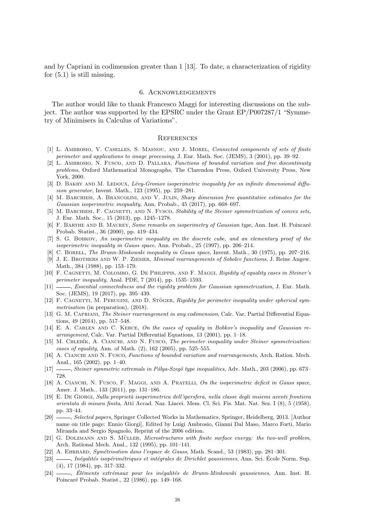and by Capriani in codimension greater than 1 [13]. To date, a characterization of rigidity for  $(5.1)$  is still missing.

#### 6. Acknowledgements

The author would like to thank Francesco Maggi for interesting discussions on the subject. The author was supported by the EPSRC under the Grant EP/P007287/1 "Symmetry of Minimisers in Calculus of Variations".

#### **REFERENCES**

- [1] L. Ambrosio, V. Caselles, S. Masnou, and J. Morel, Connected components of sets of finite perimeter and applications to image processing, J. Eur. Math. Soc. (JEMS), 3 (2001), pp. 39–92.
- [2] L. AMBROSIO, N. FUSCO, AND D. PALLARA, Functions of bounded variation and free discontinuity problems, Oxford Mathematical Monographs, The Clarendon Press, Oxford University Press, New York, 2000.
- [3] D. BAKRY AND M. LEDOUX, Lévy-Gromov isoperimetric inequality for an infinite dimensional diffusion generator, Invent. Math., 123 (1995), pp. 259–281.
- [4] M. BARCHIESI, A. BRANCOLINI, AND V. JULIN, Sharp dimension free quantitative estimates for the Gaussian isoperimetric inequality, Ann. Probab., 45 (2017), pp. 668–697.
- [5] M. BARCHIESI, F. CAGNETTI, AND N. FUSCO, Stability of the Steiner symmetrization of convex sets, J. Eur. Math. Soc., 15 (2013), pp. 1245–1278.
- [6] F. BARTHE AND B. MAUREY, Some remarks on isoperimetry of Gaussian type, Ann. Inst. H. Poincaré Probab. Statist., 36 (2000), pp. 419–434.
- [7] S. G. Bobkov, An isoperimetric inequality on the discrete cube, and an elementary proof of the isoperimetric inequality in Gauss space, Ann. Probab., 25 (1997), pp. 206–214.
- [8] C. Borell, The Brunn-Minkowski inequality in Gauss space, Invent. Math., 30 (1975), pp. 207–216.
- [9] J. E. Brothers and W. P. Ziemer, Minimal rearrangements of Sobolev functions, J. Reine Angew. Math., 384 (1988), pp. 153–179.
- [10] F. CAGNETTI, M. COLOMBO, G. DE PHILIPPIS, AND F. MAGGI, Rigidity of equality cases in Steiner's perimeter inequality, Anal. PDE, 7 (2014), pp. 1535–1593.
- [11]  $\_\_\_\_\$ n. Essential connectedness and the rigidity problem for Gaussian symmetrization, J. Eur. Math. Soc. (JEMS), 19 (2017), pp. 395–439.
- $[12]$  F. CAGNETTI, M. PERUGINI, AND D. STOGER, Rigidity for perimeter inequality under spherical symmetrisation (in preparation),  $(2018)$ .
- [13] G. M. Capriani, The Steiner rearrangement in any codimension, Calc. Var. Partial Differential Equations, 49 (2014), pp. 517–548.
- [14] E. A. CARLEN AND C. KERCE, On the cases of equality in Bobkov's inequality and Gaussian rearrangement, Calc. Var. Partial Differential Equations, 13 (2001), pp. 1–18.
- [15] M. CHLEBÍK, A. CIANCHI, AND N. FUSCO, The perimeter inequality under Steiner symmetrization: cases of equality, Ann. of Math. (2), 162 (2005), pp. 525–555.
- [16] A. Cianchi and N. Fusco, Functions of bounded variation and rearrangements, Arch. Ration. Mech. Anal., 165 (2002), pp. 1–40.
- [17] , Steiner symmetric extremals in Pólya-Szegö type inequalities, Adv. Math., 203 (2006), pp. 673– 728.
- [18] A. CIANCHI, N. FUSCO, F. MAGGI, AND A. PRATELLI, On the isoperimetric deficit in Gauss space, Amer. J. Math., 133 (2011), pp. 131–186.
- [19] E. De Giorgi, Sulla propriet`a isoperimetrica dell'ipersfera, nella classe degli insiemi aventi frontiera orientata di misura finita, Atti Accad. Naz. Lincei. Mem. Cl. Sci. Fis. Mat. Nat. Sez. I (8), 5 (1958), pp. 33–44.
- [20] Selected papers, Springer Collected Works in Mathematics, Springer, Heidelberg, 2013. [Author] name on title page: Ennio Giorgi], Edited by Luigi Ambrosio, Gianni Dal Maso, Marco Forti, Mario Miranda and Sergio Spagnolo, Reprint of the 2006 edition.
- [21] G. DOLZMANN AND S. MÜLLER, Microstructures with finite surface energy: the two-well problem, Arch. Rational Mech. Anal., 132 (1995), pp. 101–141.
- [22] A. EHRHARD, Symétrisation dans l'espace de Gauss, Math. Scand., 53 (1983), pp. 281–301.
- [23] hégalités isopérimétriques et intégrales de Dirichlet gaussiennes, Ann. Sci. École Norm. Sup. (4), 17 (1984), pp. 317–332.
- [24] *Éléments extrémaux pour les inégalités de Brunn-Minkowski gaussiennes*, Ann. Inst. H. Poincaré Probab. Statist., 22 (1986), pp. 149–168.